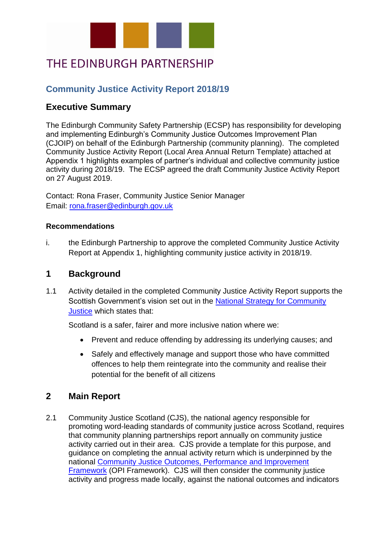

# THE EDINBURGH PARTNERSHIP

# **Community Justice Activity Report 2018/19**

# **Executive Summary**

The Edinburgh Community Safety Partnership (ECSP) has responsibility for developing and implementing Edinburgh's Community Justice Outcomes Improvement Plan (CJOIP) on behalf of the Edinburgh Partnership (community planning). The completed Community Justice Activity Report (Local Area Annual Return Template) attached at Appendix 1 highlights examples of partner's individual and collective community justice activity during 2018/19. The ECSP agreed the draft Community Justice Activity Report on 27 August 2019.

Contact: Rona Fraser, Community Justice Senior Manager Email: [rona.fraser@edinburgh.gov.uk](mailto:rona.fraser@edinburgh.gov.uk) 

# **Recommendations**

i. the Edinburgh Partnership to approve the completed Community Justice Activity Report at Appendix 1, highlighting community justice activity in 2018/19.

# **1 Background**

1.1 Activity detailed in the completed Community Justice Activity Report supports the Scottish Government's vision set out in the National Strategy for Community [Justice](https://www.gov.scot/publications/national-strategy-community-justice/) which states that:

Scotland is a safer, fairer and more inclusive nation where we:

- Prevent and reduce offending by addressing its underlying causes; and
- Safely and effectively manage and support those who have committed offences to help them reintegrate into the community and realise their potential for the benefit of all citizens

# **2 Main Report**

2.1 Community Justice Scotland (CJS), the national agency responsible for promoting word-leading standards of community justice across Scotland, requires that community planning partnerships report annually on community justice activity carried out in their area. CJS provide a template for this purpose, and guidance on completing the annual activity return which is underpinned by the national [Community Justice Outcomes, Performance and Improvement](https://www.gov.scot/publications/community-justice-outcomes-performance-improvement-framework/)  [Framework](https://www.gov.scot/publications/community-justice-outcomes-performance-improvement-framework/) (OPI Framework). CJS will then consider the community justice activity and progress made locally, against the national outcomes and indicators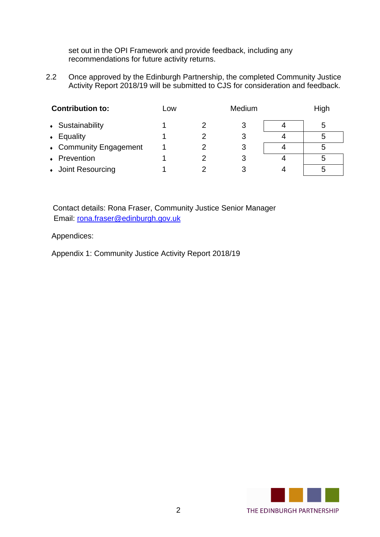set out in the OPI Framework and provide feedback, including any recommendations for future activity returns.

2.2 Once approved by the Edinburgh Partnership, the completed Community Justice Activity Report 2018/19 will be submitted to CJS for consideration and feedback.

| <b>Contribution to:</b> | Low | <b>Medium</b> |   | High |
|-------------------------|-----|---------------|---|------|
| • Sustainability        |     | 3             |   | 5    |
| Equality<br>$\bullet$   |     | З             |   | 5    |
| • Community Engagement  |     | 3             |   | 5    |
| • Prevention            |     | З             |   | 5    |
| • Joint Resourcing      |     |               | 4 | 5    |

Contact details: Rona Fraser, Community Justice Senior Manager Email: [rona.fraser@edinburgh.gov.uk](mailto:rona.fraser@edinburgh.gov.uk)

Appendices:

Appendix 1: Community Justice Activity Report 2018/19

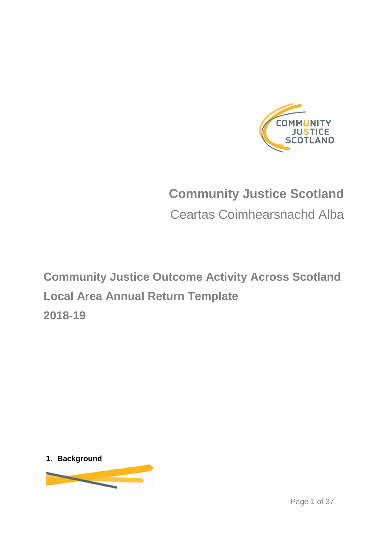

# **Community Justice Scotland**

Ceartas Coimhearsnachd Alba

**Community Justice Outcome Activity Across Scotland Local Area Annual Return Template 2018-19**

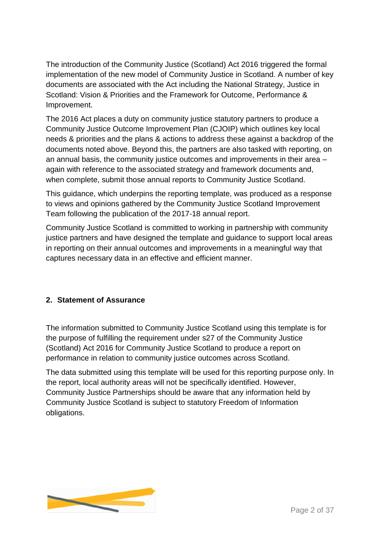The introduction of the Community Justice (Scotland) Act 2016 triggered the formal implementation of the new model of Community Justice in Scotland. A number of key documents are associated with the Act including the National Strategy, Justice in Scotland: Vision & Priorities and the Framework for Outcome, Performance & Improvement.

The 2016 Act places a duty on community justice statutory partners to produce a Community Justice Outcome Improvement Plan (CJOIP) which outlines key local needs & priorities and the plans & actions to address these against a backdrop of the documents noted above. Beyond this, the partners are also tasked with reporting, on an annual basis, the community justice outcomes and improvements in their area – again with reference to the associated strategy and framework documents and, when complete, submit those annual reports to Community Justice Scotland.

This guidance, which underpins the reporting template, was produced as a response to views and opinions gathered by the Community Justice Scotland Improvement Team following the publication of the 2017-18 annual report.

Community Justice Scotland is committed to working in partnership with community justice partners and have designed the template and guidance to support local areas in reporting on their annual outcomes and improvements in a meaningful way that captures necessary data in an effective and efficient manner.

# **2. Statement of Assurance**

The information submitted to Community Justice Scotland using this template is for the purpose of fulfilling the requirement under s27 of the Community Justice (Scotland) Act 2016 for Community Justice Scotland to produce a report on performance in relation to community justice outcomes across Scotland.

The data submitted using this template will be used for this reporting purpose only. In the report, local authority areas will not be specifically identified. However, Community Justice Partnerships should be aware that any information held by Community Justice Scotland is subject to statutory Freedom of Information obligations.

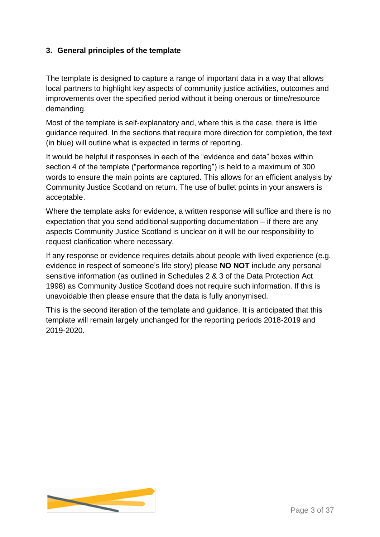# **3. General principles of the template**

The template is designed to capture a range of important data in a way that allows local partners to highlight key aspects of community justice activities, outcomes and improvements over the specified period without it being onerous or time/resource demanding.

Most of the template is self-explanatory and, where this is the case, there is little guidance required. In the sections that require more direction for completion, the text (in blue) will outline what is expected in terms of reporting.

It would be helpful if responses in each of the "evidence and data" boxes within section 4 of the template ("performance reporting") is held to a maximum of 300 words to ensure the main points are captured. This allows for an efficient analysis by Community Justice Scotland on return. The use of bullet points in your answers is acceptable.

Where the template asks for evidence, a written response will suffice and there is no expectation that you send additional supporting documentation – if there are any aspects Community Justice Scotland is unclear on it will be our responsibility to request clarification where necessary.

If any response or evidence requires details about people with lived experience (e.g. evidence in respect of someone's life story) please **NO NOT** include any personal sensitive information (as outlined in Schedules 2 & 3 of the Data Protection Act 1998) as Community Justice Scotland does not require such information. If this is unavoidable then please ensure that the data is fully anonymised.

This is the second iteration of the template and guidance. It is anticipated that this template will remain largely unchanged for the reporting periods 2018-2019 and 2019-2020.

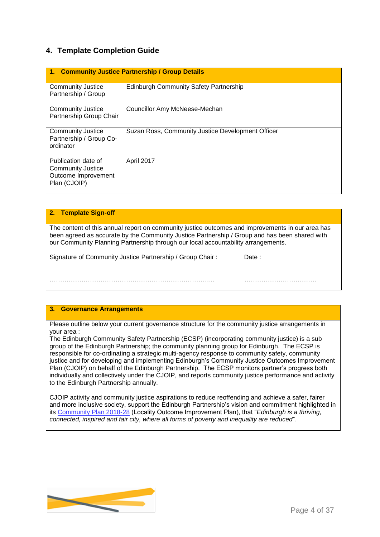# **4. Template Completion Guide**

| 1. Community Justice Partnership / Group Details                                |                                                   |  |  |  |  |
|---------------------------------------------------------------------------------|---------------------------------------------------|--|--|--|--|
| Community Justice<br>Partnership / Group                                        | <b>Edinburgh Community Safety Partnership</b>     |  |  |  |  |
| Community Justice<br>Partnership Group Chair                                    | Councillor Amy McNeese-Mechan                     |  |  |  |  |
| Community Justice<br>Partnership / Group Co-<br>ordinator                       | Suzan Ross, Community Justice Development Officer |  |  |  |  |
| Publication date of<br>Community Justice<br>Outcome Improvement<br>Plan (CJOIP) | April 2017                                        |  |  |  |  |

#### **2. Template Sign-off**

The content of this annual report on community justice outcomes and improvements in our area has been agreed as accurate by the Community Justice Partnership / Group and has been shared with our Community Planning Partnership through our local accountability arrangements.

…………………………………………………………………... …………………………….

Signature of Community Justice Partnership / Group Chair : Date :

#### **3. Governance Arrangements**

Please outline below your current governance structure for the community justice arrangements in your area :

The Edinburgh Community Safety Partnership (ECSP) (incorporating community justice) is a sub group of the Edinburgh Partnership; the community planning group for Edinburgh. The ECSP is responsible for co-ordinating a strategic multi-agency response to community safety, community justice and for developing and implementing Edinburgh's Community Justice Outcomes Improvement Plan (CJOIP) on behalf of the Edinburgh Partnership. The ECSP monitors partner's progress both individually and collectively under the CJOIP, and reports community justice performance and activity to the Edinburgh Partnership annually.

CJOIP activity and community justice aspirations to reduce reoffending and achieve a safer, fairer and more inclusive society, support the Edinburgh Partnership's vision and commitment highlighted in its [Community Plan 2018-28](https://www.edinburgh.gov.uk/downloads/download/424/the_edinburgh_partnership_community_plan) (Locality Outcome Improvement Plan), that "*Edinburgh is a thriving, connected, inspired and fair city, where all forms of poverty and inequality are reduced*".

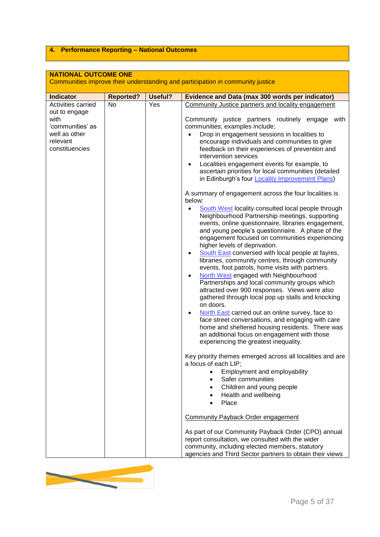# **4. Performance Reporting – National Outcomes**

#### **NATIONAL OUTCOME ONE**

Communities improve their understanding and participation in community justice

| <b>Indicator</b><br>Activities carried<br>out to engage<br>with<br>'communities' as<br>well as other<br>relevant<br>constituencies | <b>Reported?</b><br>No | Useful?<br>Yes | <b>Evidence and Data (max 300 words per indicator)</b><br>Community Justice partners and locality engagement<br>Community justice partners routinely engage<br>with<br>communities; examples include;<br>Drop in engagement sessions in localities to<br>$\bullet$<br>encourage individuals and communities to give<br>feedback on their experiences of prevention and<br>intervention services<br>Localities engagement events for example, to<br>٠<br>ascertain priorities for local communities (detailed<br>in Edinburgh's four <b>Locality Improvement Plans</b> )<br>A summary of engagement across the four localities is<br>below:<br>South West locality consulted local people through<br>$\bullet$<br>Neighbourhood Partnership meetings, supporting<br>events, online questionnaire, libraries engagement,<br>and young people's questionnaire. A phase of the<br>engagement focused on communities experiencing<br>higher levels of deprivation.<br>South East conversed with local people at fayres,<br>٠<br>libraries, community centres, through community<br>events, foot patrols, home visits with partners.<br>North West engaged with Neighbourhood<br>$\bullet$<br>Partnerships and local community groups which<br>attracted over 900 responses. Views were also |
|------------------------------------------------------------------------------------------------------------------------------------|------------------------|----------------|----------------------------------------------------------------------------------------------------------------------------------------------------------------------------------------------------------------------------------------------------------------------------------------------------------------------------------------------------------------------------------------------------------------------------------------------------------------------------------------------------------------------------------------------------------------------------------------------------------------------------------------------------------------------------------------------------------------------------------------------------------------------------------------------------------------------------------------------------------------------------------------------------------------------------------------------------------------------------------------------------------------------------------------------------------------------------------------------------------------------------------------------------------------------------------------------------------------------------------------------------------------------------------------|
|                                                                                                                                    |                        |                | gathered through local pop up stalls and knocking<br>on doors.<br>North East carried out an online survey, face to<br>٠<br>face street conversations, and engaging with care<br>home and sheltered housing residents. There was                                                                                                                                                                                                                                                                                                                                                                                                                                                                                                                                                                                                                                                                                                                                                                                                                                                                                                                                                                                                                                                        |
|                                                                                                                                    |                        |                | an additional focus on engagement with those<br>experiencing the greatest inequality.                                                                                                                                                                                                                                                                                                                                                                                                                                                                                                                                                                                                                                                                                                                                                                                                                                                                                                                                                                                                                                                                                                                                                                                                  |
|                                                                                                                                    |                        |                | Key priority themes emerged across all localities and are<br>a focus of each LIP;<br>• Employment and employability<br>Safer communities<br>Children and young people<br>Health and wellbeing<br>Place                                                                                                                                                                                                                                                                                                                                                                                                                                                                                                                                                                                                                                                                                                                                                                                                                                                                                                                                                                                                                                                                                 |
|                                                                                                                                    |                        |                | <b>Community Payback Order engagement</b>                                                                                                                                                                                                                                                                                                                                                                                                                                                                                                                                                                                                                                                                                                                                                                                                                                                                                                                                                                                                                                                                                                                                                                                                                                              |
|                                                                                                                                    |                        |                | As part of our Community Payback Order (CPO) annual<br>report consultation, we consulted with the wider<br>community, including elected members, statutory<br>agencies and Third Sector partners to obtain their views                                                                                                                                                                                                                                                                                                                                                                                                                                                                                                                                                                                                                                                                                                                                                                                                                                                                                                                                                                                                                                                                 |

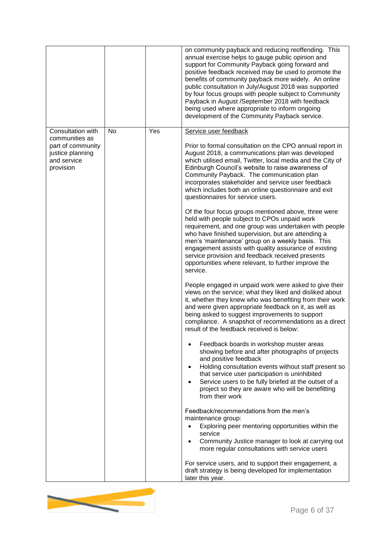|                                                                                                          |    |     | on community payback and reducing reoffending. This<br>annual exercise helps to gauge public opinion and<br>support for Community Payback going forward and<br>positive feedback received may be used to promote the<br>benefits of community payback more widely. An online<br>public consultation in July/August 2018 was supported<br>by four focus groups with people subject to Community<br>Payback in August /September 2018 with feedback<br>being used where appropriate to inform ongoing<br>development of the Community Payback service.                                                                                                                                                                                                                                                                                                                                                                                                                                                                                                                                                                                                                                                                                                                                                                                                                                                                                                                                                                                                                                                                                                                                                                                                                                                                                                                                                                                                                                                                                                                                 |
|----------------------------------------------------------------------------------------------------------|----|-----|--------------------------------------------------------------------------------------------------------------------------------------------------------------------------------------------------------------------------------------------------------------------------------------------------------------------------------------------------------------------------------------------------------------------------------------------------------------------------------------------------------------------------------------------------------------------------------------------------------------------------------------------------------------------------------------------------------------------------------------------------------------------------------------------------------------------------------------------------------------------------------------------------------------------------------------------------------------------------------------------------------------------------------------------------------------------------------------------------------------------------------------------------------------------------------------------------------------------------------------------------------------------------------------------------------------------------------------------------------------------------------------------------------------------------------------------------------------------------------------------------------------------------------------------------------------------------------------------------------------------------------------------------------------------------------------------------------------------------------------------------------------------------------------------------------------------------------------------------------------------------------------------------------------------------------------------------------------------------------------------------------------------------------------------------------------------------------------|
| Consultation with<br>communities as<br>part of community<br>justice planning<br>and service<br>provision | No | Yes | Service user feedback<br>Prior to formal consultation on the CPO annual report in<br>August 2018, a communications plan was developed<br>which utilised email, Twitter, local media and the City of<br>Edinburgh Council's website to raise awareness of<br>Community Payback. The communication plan<br>incorporates stakeholder and service user feedback<br>which includes both an online questionnaire and exit<br>questionnaires for service users.<br>Of the four focus groups mentioned above, three were<br>held with people subject to CPOs unpaid work<br>requirement, and one group was undertaken with people<br>who have finished supervision, but are attending a<br>men's 'maintenance' group on a weekly basis. This<br>engagement assists with quality assurance of existing<br>service provision and feedback received presents<br>opportunities where relevant, to further improve the<br>service.<br>People engaged in unpaid work were asked to give their<br>views on the service; what they liked and disliked about<br>it, whether they knew who was benefiting from their work<br>and were given appropriate feedback on it, as well as<br>being asked to suggest improvements to support<br>compliance. A snapshot of recommendations as a direct<br>result of the feedback received is below:<br>Feedback boards in workshop muster areas<br>showing before and after photographs of projects<br>and positive feedback<br>Holding consultation events without staff present so<br>that service user participation is uninhibited<br>Service users to be fully briefed at the outset of a<br>project so they are aware who will be benefitting<br>from their work<br>Feedback/recommendations from the men's<br>maintenance group:<br>Exploring peer mentoring opportunities within the<br>$\bullet$<br>service<br>Community Justice manager to look at carrying out<br>more regular consultations with service users<br>For service users, and to support their engagement, a<br>draft strategy is being developed for implementation<br>later this year. |

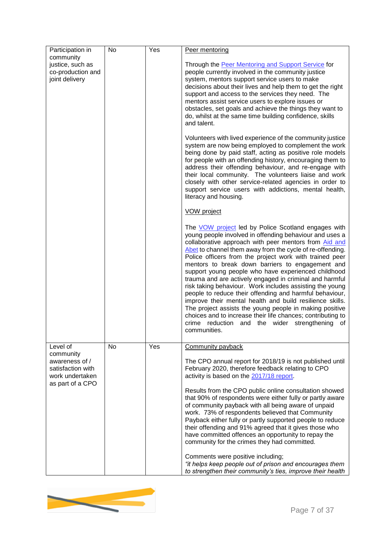| Participation in      | No | Yes | Peer mentoring                                                                                                                                                                                                                                                                                                                                                                                                                                                                                                                                                                                                                                                                                                                     |
|-----------------------|----|-----|------------------------------------------------------------------------------------------------------------------------------------------------------------------------------------------------------------------------------------------------------------------------------------------------------------------------------------------------------------------------------------------------------------------------------------------------------------------------------------------------------------------------------------------------------------------------------------------------------------------------------------------------------------------------------------------------------------------------------------|
| community             |    |     |                                                                                                                                                                                                                                                                                                                                                                                                                                                                                                                                                                                                                                                                                                                                    |
| justice, such as      |    |     | Through the Peer Mentoring and Support Service for                                                                                                                                                                                                                                                                                                                                                                                                                                                                                                                                                                                                                                                                                 |
| co-production and     |    |     | people currently involved in the community justice                                                                                                                                                                                                                                                                                                                                                                                                                                                                                                                                                                                                                                                                                 |
| joint delivery        |    |     | system, mentors support service users to make<br>decisions about their lives and help them to get the right                                                                                                                                                                                                                                                                                                                                                                                                                                                                                                                                                                                                                        |
|                       |    |     | support and access to the services they need. The                                                                                                                                                                                                                                                                                                                                                                                                                                                                                                                                                                                                                                                                                  |
|                       |    |     | mentors assist service users to explore issues or                                                                                                                                                                                                                                                                                                                                                                                                                                                                                                                                                                                                                                                                                  |
|                       |    |     | obstacles, set goals and achieve the things they want to                                                                                                                                                                                                                                                                                                                                                                                                                                                                                                                                                                                                                                                                           |
|                       |    |     | do, whilst at the same time building confidence, skills                                                                                                                                                                                                                                                                                                                                                                                                                                                                                                                                                                                                                                                                            |
|                       |    |     | and talent.                                                                                                                                                                                                                                                                                                                                                                                                                                                                                                                                                                                                                                                                                                                        |
|                       |    |     | Volunteers with lived experience of the community justice<br>system are now being employed to complement the work<br>being done by paid staff, acting as positive role models<br>for people with an offending history, encouraging them to<br>address their offending behaviour, and re-engage with<br>their local community. The volunteers liaise and work<br>closely with other service-related agencies in order to<br>support service users with addictions, mental health,<br>literacy and housing.                                                                                                                                                                                                                          |
|                       |    |     | <b>VOW</b> project                                                                                                                                                                                                                                                                                                                                                                                                                                                                                                                                                                                                                                                                                                                 |
|                       |    |     | The VOW project led by Police Scotland engages with<br>young people involved in offending behaviour and uses a                                                                                                                                                                                                                                                                                                                                                                                                                                                                                                                                                                                                                     |
|                       |    |     | collaborative approach with peer mentors from Aid and<br>Abet to channel them away from the cycle of re-offending.<br>Police officers from the project work with trained peer<br>mentors to break down barriers to engagement and<br>support young people who have experienced childhood<br>trauma and are actively engaged in criminal and harmful<br>risk taking behaviour. Work includes assisting the young<br>people to reduce their offending and harmful behaviour,<br>improve their mental health and build resilience skills.<br>The project assists the young people in making positive<br>choices and to increase their life chances; contributing to<br>crime reduction and the wider strengthening of<br>communities. |
| Level of<br>community | No | Yes | <b>Community payback</b>                                                                                                                                                                                                                                                                                                                                                                                                                                                                                                                                                                                                                                                                                                           |
| awareness of /        |    |     | The CPO annual report for 2018/19 is not published until                                                                                                                                                                                                                                                                                                                                                                                                                                                                                                                                                                                                                                                                           |
| satisfaction with     |    |     | February 2020, therefore feedback relating to CPO                                                                                                                                                                                                                                                                                                                                                                                                                                                                                                                                                                                                                                                                                  |
| work undertaken       |    |     | activity is based on the 2017/18 report.                                                                                                                                                                                                                                                                                                                                                                                                                                                                                                                                                                                                                                                                                           |
| as part of a CPO      |    |     | Results from the CPO public online consultation showed                                                                                                                                                                                                                                                                                                                                                                                                                                                                                                                                                                                                                                                                             |
|                       |    |     | that 90% of respondents were either fully or partly aware                                                                                                                                                                                                                                                                                                                                                                                                                                                                                                                                                                                                                                                                          |
|                       |    |     | of community payback with all being aware of unpaid                                                                                                                                                                                                                                                                                                                                                                                                                                                                                                                                                                                                                                                                                |
|                       |    |     | work. 73% of respondents believed that Community                                                                                                                                                                                                                                                                                                                                                                                                                                                                                                                                                                                                                                                                                   |
|                       |    |     | Payback either fully or partly supported people to reduce                                                                                                                                                                                                                                                                                                                                                                                                                                                                                                                                                                                                                                                                          |
|                       |    |     | their offending and 91% agreed that it gives those who<br>have committed offences an opportunity to repay the                                                                                                                                                                                                                                                                                                                                                                                                                                                                                                                                                                                                                      |
|                       |    |     | community for the crimes they had committed.                                                                                                                                                                                                                                                                                                                                                                                                                                                                                                                                                                                                                                                                                       |
|                       |    |     | Comments were positive including;                                                                                                                                                                                                                                                                                                                                                                                                                                                                                                                                                                                                                                                                                                  |
|                       |    |     | "it helps keep people out of prison and encourages them                                                                                                                                                                                                                                                                                                                                                                                                                                                                                                                                                                                                                                                                            |
|                       |    |     | to strengthen their community's ties, improve their health                                                                                                                                                                                                                                                                                                                                                                                                                                                                                                                                                                                                                                                                         |

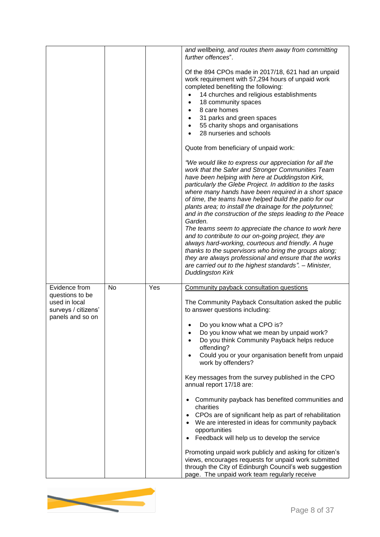|                                                                             |    |     | and wellbeing, and routes them away from committing<br>further offences".                                                                                                                                                                                                                                                                                                                                                                                                                                                                                                                                                                                                                                                                                                                                                                                       |
|-----------------------------------------------------------------------------|----|-----|-----------------------------------------------------------------------------------------------------------------------------------------------------------------------------------------------------------------------------------------------------------------------------------------------------------------------------------------------------------------------------------------------------------------------------------------------------------------------------------------------------------------------------------------------------------------------------------------------------------------------------------------------------------------------------------------------------------------------------------------------------------------------------------------------------------------------------------------------------------------|
|                                                                             |    |     | Of the 894 CPOs made in 2017/18, 621 had an unpaid<br>work requirement with 57,294 hours of unpaid work<br>completed benefiting the following:<br>14 churches and religious establishments<br>18 community spaces<br>$\bullet$<br>8 care homes<br>$\bullet$<br>31 parks and green spaces<br>$\bullet$<br>55 charity shops and organisations<br>$\bullet$<br>28 nurseries and schools                                                                                                                                                                                                                                                                                                                                                                                                                                                                            |
|                                                                             |    |     | Quote from beneficiary of unpaid work:                                                                                                                                                                                                                                                                                                                                                                                                                                                                                                                                                                                                                                                                                                                                                                                                                          |
|                                                                             |    |     | "We would like to express our appreciation for all the<br>work that the Safer and Stronger Communities Team<br>have been helping with here at Duddingston Kirk,<br>particularly the Glebe Project. In addition to the tasks<br>where many hands have been required in a short space<br>of time, the teams have helped build the patio for our<br>plants area; to install the drainage for the polytunnel;<br>and in the construction of the steps leading to the Peace<br>Garden.<br>The teams seem to appreciate the chance to work here<br>and to contribute to our on-going project, they are<br>always hard-working, courteous and friendly. A huge<br>thanks to the supervisors who bring the groups along;<br>they are always professional and ensure that the works<br>are carried out to the highest standards". - Minister,<br><b>Duddingston Kirk</b> |
| Evidence from                                                               | No | Yes | Community payback consultation questions                                                                                                                                                                                                                                                                                                                                                                                                                                                                                                                                                                                                                                                                                                                                                                                                                        |
| questions to be<br>used in local<br>surveys / citizens'<br>panels and so on |    |     | The Community Payback Consultation asked the public<br>to answer questions including:<br>Do you know what a CPO is?<br>Do you know what we mean by unpaid work?<br>Do you think Community Payback helps reduce<br>offending?<br>Could you or your organisation benefit from unpaid<br>work by offenders?<br>Key messages from the survey published in the CPO<br>annual report 17/18 are:<br>Community payback has benefited communities and<br>charities<br>CPOs are of significant help as part of rehabilitation<br>We are interested in ideas for community payback<br>opportunities<br>Feedback will help us to develop the service                                                                                                                                                                                                                        |
|                                                                             |    |     | Promoting unpaid work publicly and asking for citizen's<br>views, encourages requests for unpaid work submitted<br>through the City of Edinburgh Council's web suggestion<br>page. The unpaid work team regularly receive                                                                                                                                                                                                                                                                                                                                                                                                                                                                                                                                                                                                                                       |

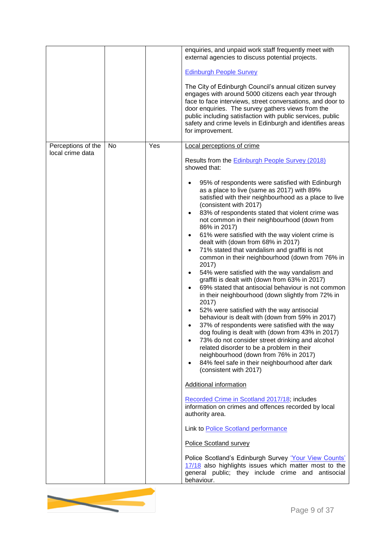|                                        |    |     | enquiries, and unpaid work staff frequently meet with<br>external agencies to discuss potential projects.                                                                                                                                                                                                                                                                                                                                                                                                                                                                                                                                                                                                                                                                                                                                                                                                                                                                                                                                                                                                                                                                                                                                                              |
|----------------------------------------|----|-----|------------------------------------------------------------------------------------------------------------------------------------------------------------------------------------------------------------------------------------------------------------------------------------------------------------------------------------------------------------------------------------------------------------------------------------------------------------------------------------------------------------------------------------------------------------------------------------------------------------------------------------------------------------------------------------------------------------------------------------------------------------------------------------------------------------------------------------------------------------------------------------------------------------------------------------------------------------------------------------------------------------------------------------------------------------------------------------------------------------------------------------------------------------------------------------------------------------------------------------------------------------------------|
|                                        |    |     | <b>Edinburgh People Survey</b>                                                                                                                                                                                                                                                                                                                                                                                                                                                                                                                                                                                                                                                                                                                                                                                                                                                                                                                                                                                                                                                                                                                                                                                                                                         |
|                                        |    |     | The City of Edinburgh Council's annual citizen survey<br>engages with around 5000 citizens each year through<br>face to face interviews, street conversations, and door to<br>door enquiries. The survey gathers views from the<br>public including satisfaction with public services, public<br>safety and crime levels in Edinburgh and identifies areas<br>for improvement.                                                                                                                                                                                                                                                                                                                                                                                                                                                                                                                                                                                                                                                                                                                                                                                                                                                                                         |
| Perceptions of the<br>local crime data | No | Yes | <b>Local perceptions of crime</b>                                                                                                                                                                                                                                                                                                                                                                                                                                                                                                                                                                                                                                                                                                                                                                                                                                                                                                                                                                                                                                                                                                                                                                                                                                      |
|                                        |    |     | Results from the <b>Edinburgh People Survey</b> (2018)<br>showed that:                                                                                                                                                                                                                                                                                                                                                                                                                                                                                                                                                                                                                                                                                                                                                                                                                                                                                                                                                                                                                                                                                                                                                                                                 |
|                                        |    |     | 95% of respondents were satisfied with Edinburgh<br>as a place to live (same as 2017) with 89%<br>satisfied with their neighbourhood as a place to live<br>(consistent with 2017)<br>83% of respondents stated that violent crime was<br>$\bullet$<br>not common in their neighbourhood (down from<br>86% in 2017)<br>61% were satisfied with the way violent crime is<br>$\bullet$<br>dealt with (down from 68% in 2017)<br>71% stated that vandalism and graffiti is not<br>$\bullet$<br>common in their neighbourhood (down from 76% in<br>2017)<br>54% were satisfied with the way vandalism and<br>$\bullet$<br>graffiti is dealt with (down from 63% in 2017)<br>69% stated that antisocial behaviour is not common<br>$\bullet$<br>in their neighbourhood (down slightly from 72% in<br>2017)<br>52% were satisfied with the way antisocial<br>$\bullet$<br>behaviour is dealt with (down from 59% in 2017)<br>37% of respondents were satisfied with the way<br>٠<br>dog fouling is dealt with (down from 43% in 2017)<br>73% do not consider street drinking and alcohol<br>$\bullet$<br>related disorder to be a problem in their<br>neighbourhood (down from 76% in 2017)<br>84% feel safe in their neighbourhood after dark<br>٠<br>(consistent with 2017) |
|                                        |    |     | <b>Additional information</b><br>Recorded Crime in Scotland 2017/18, includes                                                                                                                                                                                                                                                                                                                                                                                                                                                                                                                                                                                                                                                                                                                                                                                                                                                                                                                                                                                                                                                                                                                                                                                          |
|                                        |    |     | information on crimes and offences recorded by local<br>authority area.                                                                                                                                                                                                                                                                                                                                                                                                                                                                                                                                                                                                                                                                                                                                                                                                                                                                                                                                                                                                                                                                                                                                                                                                |
|                                        |    |     | Link to Police Scotland performance                                                                                                                                                                                                                                                                                                                                                                                                                                                                                                                                                                                                                                                                                                                                                                                                                                                                                                                                                                                                                                                                                                                                                                                                                                    |
|                                        |    |     | <b>Police Scotland survey</b>                                                                                                                                                                                                                                                                                                                                                                                                                                                                                                                                                                                                                                                                                                                                                                                                                                                                                                                                                                                                                                                                                                                                                                                                                                          |
|                                        |    |     | Police Scotland's Edinburgh Survey 'Your View Counts'<br>17/18 also highlights issues which matter most to the<br>general public; they include crime and antisocial<br>behaviour.                                                                                                                                                                                                                                                                                                                                                                                                                                                                                                                                                                                                                                                                                                                                                                                                                                                                                                                                                                                                                                                                                      |

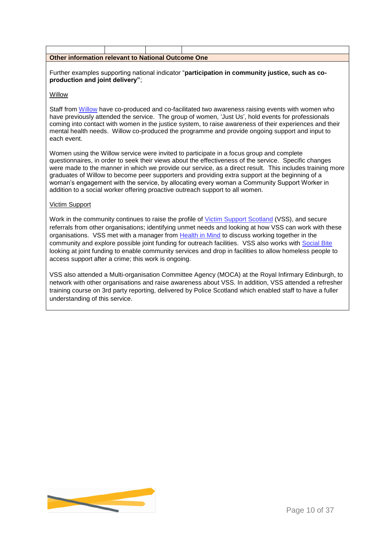| Other information relevant to National Outcome One |  |  |  |  |
|----------------------------------------------------|--|--|--|--|
|                                                    |  |  |  |  |

Further examples supporting national indicator "**participation in community justice, such as coproduction and joint delivery"**;

#### Willow

Staff from [Willow](http://www.edinburgh.gov.uk/info/20048/crime/589/willow) have co-produced and co-facilitated two awareness raising events with women who have previously attended the service. The group of women, 'Just Us', hold events for professionals coming into contact with women in the justice system, to raise awareness of their experiences and their mental health needs. Willow co-produced the programme and provide ongoing support and input to each event.

Women using the Willow service were invited to participate in a focus group and complete questionnaires, in order to seek their views about the effectiveness of the service. Specific changes were made to the manner in which we provide our service, as a direct result. This includes training more graduates of Willow to become peer supporters and providing extra support at the beginning of a woman's engagement with the service, by allocating every woman a Community Support Worker in addition to a social worker offering proactive outreach support to all women.

#### Victim Support

Work in the community continues to raise the profile of [Victim Support Scotland](https://www.victimsupportsco.org.uk/how-to-find-us/victim-support/victim-support-edinburgh/) (VSS), and secure referrals from other organisations; identifying unmet needs and looking at how VSS can work with these organisations. VSS met with a manager from [Health in Mind](https://www.health-in-mind.org.uk/about_us/d4/) to discuss working together in the community and explore possible joint funding for outreach facilities. VSS also works with [Social Bite](https://social-bite.co.uk/about-us/) looking at joint funding to enable community services and drop in facilities to allow homeless people to access support after a crime; this work is ongoing.

VSS also attended a Multi-organisation Committee Agency (MOCA) at the Royal Infirmary Edinburgh, to network with other organisations and raise awareness about VSS. In addition, VSS attended a refresher training course on 3rd party reporting, delivered by Police Scotland which enabled staff to have a fuller understanding of this service.

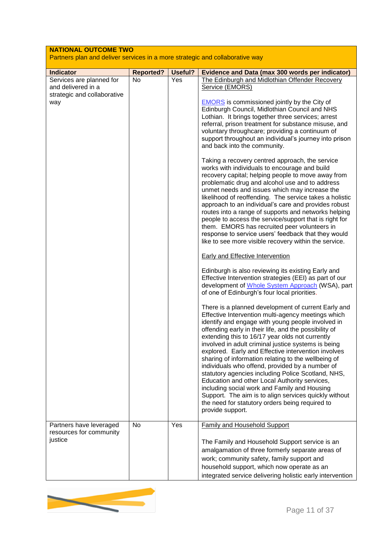| <b>NATIONAL OUTCOME TWO</b><br>Partners plan and deliver services in a more strategic and collaborative way |                  |         |                                                                                                                                                                                                                                                                                                                                                                                                                                                                                                                                                                                                                                                                                                                                                                                           |
|-------------------------------------------------------------------------------------------------------------|------------------|---------|-------------------------------------------------------------------------------------------------------------------------------------------------------------------------------------------------------------------------------------------------------------------------------------------------------------------------------------------------------------------------------------------------------------------------------------------------------------------------------------------------------------------------------------------------------------------------------------------------------------------------------------------------------------------------------------------------------------------------------------------------------------------------------------------|
| <b>Indicator</b>                                                                                            | <b>Reported?</b> | Useful? | Evidence and Data (max 300 words per indicator)                                                                                                                                                                                                                                                                                                                                                                                                                                                                                                                                                                                                                                                                                                                                           |
| Services are planned for<br>and delivered in a<br>strategic and collaborative<br>way                        | <b>No</b>        | Yes     | The Edinburgh and Midlothian Offender Recovery<br>Service (EMORS)<br><b>EMORS</b> is commissioned jointly by the City of<br>Edinburgh Council, Midlothian Council and NHS<br>Lothian. It brings together three services; arrest<br>referral, prison treatment for substance misuse, and<br>voluntary throughcare; providing a continuum of<br>support throughout an individual's journey into prison<br>and back into the community.                                                                                                                                                                                                                                                                                                                                                      |
|                                                                                                             |                  |         | Taking a recovery centred approach, the service<br>works with individuals to encourage and build<br>recovery capital; helping people to move away from<br>problematic drug and alcohol use and to address<br>unmet needs and issues which may increase the<br>likelihood of reoffending. The service takes a holistic<br>approach to an individual's care and provides robust<br>routes into a range of supports and networks helping<br>people to access the service/support that is right for<br>them. EMORS has recruited peer volunteers in<br>response to service users' feedback that they would<br>like to see more visible recovery within the service.                                                                                                                           |
|                                                                                                             |                  |         | <b>Early and Effective Intervention</b>                                                                                                                                                                                                                                                                                                                                                                                                                                                                                                                                                                                                                                                                                                                                                   |
|                                                                                                             |                  |         | Edinburgh is also reviewing its existing Early and<br>Effective Intervention strategies (EEI) as part of our<br>development of Whole System Approach (WSA), part<br>of one of Edinburgh's four local priorities.                                                                                                                                                                                                                                                                                                                                                                                                                                                                                                                                                                          |
|                                                                                                             |                  |         | There is a planned development of current Early and<br>Effective Intervention multi-agency meetings which<br>identify and engage with young people involved in<br>offending early in their life, and the possibility of<br>extending this to 16/17 year olds not currently<br>involved in adult criminal justice systems is being<br>explored. Early and Effective intervention involves<br>sharing of information relating to the wellbeing of<br>individuals who offend, provided by a number of<br>statutory agencies including Police Scotland, NHS,<br>Education and other Local Authority services,<br>including social work and Family and Housing<br>Support. The aim is to align services quickly without<br>the need for statutory orders being required to<br>provide support. |
| Partners have leveraged<br>resources for community                                                          | No               | Yes     | <b>Family and Household Support</b>                                                                                                                                                                                                                                                                                                                                                                                                                                                                                                                                                                                                                                                                                                                                                       |
| justice                                                                                                     |                  |         | The Family and Household Support service is an<br>amalgamation of three formerly separate areas of<br>work; community safety, family support and<br>household support, which now operate as an<br>integrated service delivering holistic early intervention                                                                                                                                                                                                                                                                                                                                                                                                                                                                                                                               |

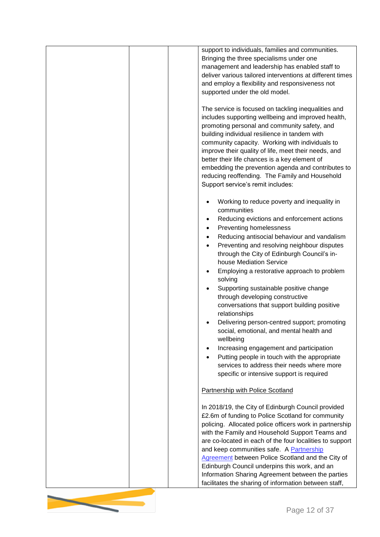| reducing reoffending. The Family and Household<br>Support service's remit includes:<br>Working to reduce poverty and inequality in<br>communities                                                                                                                                                                                                                                                                                                                                                                                                                                                                                                                                                                                 |
|-----------------------------------------------------------------------------------------------------------------------------------------------------------------------------------------------------------------------------------------------------------------------------------------------------------------------------------------------------------------------------------------------------------------------------------------------------------------------------------------------------------------------------------------------------------------------------------------------------------------------------------------------------------------------------------------------------------------------------------|
| Reducing evictions and enforcement actions<br>٠<br>Preventing homelessness<br>$\bullet$<br>Reducing antisocial behaviour and vandalism<br>٠<br>Preventing and resolving neighbour disputes<br>through the City of Edinburgh Council's in-<br>house Mediation Service<br>Employing a restorative approach to problem<br>٠<br>solving                                                                                                                                                                                                                                                                                                                                                                                               |
| Supporting sustainable positive change<br>through developing constructive<br>conversations that support building positive<br>relationships                                                                                                                                                                                                                                                                                                                                                                                                                                                                                                                                                                                        |
| Delivering person-centred support; promoting<br>social, emotional, and mental health and<br>wellbeing<br>Increasing engagement and participation<br>$\bullet$                                                                                                                                                                                                                                                                                                                                                                                                                                                                                                                                                                     |
| Putting people in touch with the appropriate<br>services to address their needs where more<br>specific or intensive support is required                                                                                                                                                                                                                                                                                                                                                                                                                                                                                                                                                                                           |
| <b>Partnership with Police Scotland</b>                                                                                                                                                                                                                                                                                                                                                                                                                                                                                                                                                                                                                                                                                           |
| In 2018/19, the City of Edinburgh Council provided<br>£2.6m of funding to Police Scotland for community                                                                                                                                                                                                                                                                                                                                                                                                                                                                                                                                                                                                                           |
| policing. Allocated police officers work in partnership<br>with the Family and Household Support Teams and                                                                                                                                                                                                                                                                                                                                                                                                                                                                                                                                                                                                                        |
| are co-located in each of the four localities to support                                                                                                                                                                                                                                                                                                                                                                                                                                                                                                                                                                                                                                                                          |
| and keep communities safe. A Partnership<br><b>Agreement between Police Scotland and the City of</b>                                                                                                                                                                                                                                                                                                                                                                                                                                                                                                                                                                                                                              |
| support to individuals, families and communities.<br>Bringing the three specialisms under one<br>management and leadership has enabled staff to<br>deliver various tailored interventions at different times<br>and employ a flexibility and responsiveness not<br>supported under the old model.<br>The service is focused on tackling inequalities and<br>includes supporting wellbeing and improved health,<br>promoting personal and community safety, and<br>building individual resilience in tandem with<br>community capacity. Working with individuals to<br>improve their quality of life, meet their needs, and<br>better their life chances is a key element of<br>embedding the prevention agenda and contributes to |

 $\overline{\phantom{0}}$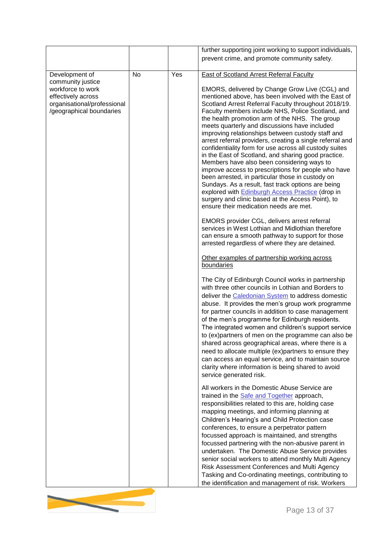|                                                                                                                         |           |     | further supporting joint working to support individuals,                                                                                                                                                                                                                                                                                                                                                                                                                                                                                                                                                                                                                                                                                                                                                                                                                                                                   |
|-------------------------------------------------------------------------------------------------------------------------|-----------|-----|----------------------------------------------------------------------------------------------------------------------------------------------------------------------------------------------------------------------------------------------------------------------------------------------------------------------------------------------------------------------------------------------------------------------------------------------------------------------------------------------------------------------------------------------------------------------------------------------------------------------------------------------------------------------------------------------------------------------------------------------------------------------------------------------------------------------------------------------------------------------------------------------------------------------------|
|                                                                                                                         |           |     | prevent crime, and promote community safety.                                                                                                                                                                                                                                                                                                                                                                                                                                                                                                                                                                                                                                                                                                                                                                                                                                                                               |
| Development of                                                                                                          | <b>No</b> | Yes | <b>East of Scotland Arrest Referral Faculty</b>                                                                                                                                                                                                                                                                                                                                                                                                                                                                                                                                                                                                                                                                                                                                                                                                                                                                            |
| community justice<br>workforce to work<br>effectively across<br>organisational/professional<br>/geographical boundaries |           |     | EMORS, delivered by Change Grow Live (CGL) and<br>mentioned above, has been involved with the East of<br>Scotland Arrest Referral Faculty throughout 2018/19.<br>Faculty members include NHS, Police Scotland, and<br>the health promotion arm of the NHS. The group<br>meets quarterly and discussions have included<br>improving relationships between custody staff and<br>arrest referral providers, creating a single referral and<br>confidentiality form for use across all custody suites<br>in the East of Scotland, and sharing good practice.<br>Members have also been considering ways to<br>improve access to prescriptions for people who have<br>been arrested, in particular those in custody on<br>Sundays. As a result, fast track options are being<br>explored with Edinburgh Access Practice (drop in<br>surgery and clinic based at the Access Point), to<br>ensure their medication needs are met. |
|                                                                                                                         |           |     | EMORS provider CGL, delivers arrest referral<br>services in West Lothian and Midlothian therefore<br>can ensure a smooth pathway to support for those<br>arrested regardless of where they are detained.                                                                                                                                                                                                                                                                                                                                                                                                                                                                                                                                                                                                                                                                                                                   |
|                                                                                                                         |           |     | Other examples of partnership working across<br>boundaries                                                                                                                                                                                                                                                                                                                                                                                                                                                                                                                                                                                                                                                                                                                                                                                                                                                                 |
|                                                                                                                         |           |     | The City of Edinburgh Council works in partnership<br>with three other councils in Lothian and Borders to<br>deliver the Caledonian System to address domestic<br>abuse. It provides the men's group work programme<br>for partner councils in addition to case management<br>of the men's programme for Edinburgh residents.<br>The integrated women and children's support service<br>to (ex)partners of men on the programme can also be<br>shared across geographical areas, where there is a<br>need to allocate multiple (ex)partners to ensure they<br>can access an equal service, and to maintain source<br>clarity where information is being shared to avoid<br>service generated risk.                                                                                                                                                                                                                         |
|                                                                                                                         |           |     | All workers in the Domestic Abuse Service are<br>trained in the <b>Safe and Together</b> approach,<br>responsibilities related to this are, holding case<br>mapping meetings, and informing planning at<br>Children's Hearing's and Child Protection case<br>conferences, to ensure a perpetrator pattern<br>focussed approach is maintained, and strengths<br>focussed partnering with the non-abusive parent in<br>undertaken. The Domestic Abuse Service provides<br>senior social workers to attend monthly Multi Agency<br>Risk Assessment Conferences and Multi Agency                                                                                                                                                                                                                                                                                                                                               |
|                                                                                                                         |           |     | Tasking and Co-ordinating meetings, contributing to<br>the identification and management of risk. Workers                                                                                                                                                                                                                                                                                                                                                                                                                                                                                                                                                                                                                                                                                                                                                                                                                  |

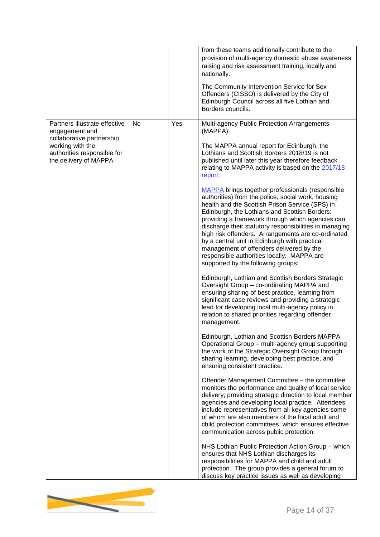|                                                                                                                                                          |    |     | from these teams additionally contribute to the<br>provision of multi-agency domestic abuse awareness<br>raising and risk assessment training, locally and<br>nationally.<br>The Community Intervention Service for Sex<br>Offenders (CISSO) is delivered by the City of<br>Edinburgh Council across all five Lothian and<br>Borders councils.                                                                                                                                                                                                                                                                                                                                                                                                                                                                                                                                                                                                                                                                                                                                                                                                                                                                                                                                                                                                                                                                                                                                                                                                                                                                                                                                                                                                                                                                                                                                                                                                                                                                                                                                                                                                    |
|----------------------------------------------------------------------------------------------------------------------------------------------------------|----|-----|---------------------------------------------------------------------------------------------------------------------------------------------------------------------------------------------------------------------------------------------------------------------------------------------------------------------------------------------------------------------------------------------------------------------------------------------------------------------------------------------------------------------------------------------------------------------------------------------------------------------------------------------------------------------------------------------------------------------------------------------------------------------------------------------------------------------------------------------------------------------------------------------------------------------------------------------------------------------------------------------------------------------------------------------------------------------------------------------------------------------------------------------------------------------------------------------------------------------------------------------------------------------------------------------------------------------------------------------------------------------------------------------------------------------------------------------------------------------------------------------------------------------------------------------------------------------------------------------------------------------------------------------------------------------------------------------------------------------------------------------------------------------------------------------------------------------------------------------------------------------------------------------------------------------------------------------------------------------------------------------------------------------------------------------------------------------------------------------------------------------------------------------------|
| Partners illustrate effective<br>engagement and<br>collaborative partnership<br>working with the<br>authorities responsible for<br>the delivery of MAPPA | No | Yes | <b>Multi-agency Public Protection Arrangements</b><br>(MAPPA)<br>The MAPPA annual report for Edinburgh, the<br>Lothians and Scottish Borders 2018/19 is not<br>published until later this year therefore feedback<br>relating to MAPPA activity is based on the 2017/18<br>report.<br><b>MAPPA</b> brings together professionals (responsible<br>authorities) from the police, social work, housing<br>health and the Scottish Prison Service (SPS) in<br>Edinburgh, the Lothians and Scottish Borders;<br>providing a framework through which agencies can<br>discharge their statutory responsibilities in managing<br>high risk offenders. Arrangements are co-ordinated<br>by a central unit in Edinburgh with practical<br>management of offenders delivered by the<br>responsible authorities locally. MAPPA are<br>supported by the following groups:<br>Edinburgh, Lothian and Scottish Borders Strategic<br>Oversight Group - co-ordinating MAPPA and<br>ensuring sharing of best practice, learning from<br>significant case reviews and providing a strategic<br>lead for developing local multi-agency policy in<br>relation to shared priorities regarding offender<br>management.<br>Edinburgh, Lothian and Scottish Borders MAPPA<br>Operational Group - multi-agency group supporting<br>the work of the Strategic Oversight Group through<br>sharing learning, developing best practice, and<br>ensuring consistent practice.<br>Offender Management Committee - the committee<br>monitors the performance and quality of local service<br>delivery; providing strategic direction to local member<br>agencies and developing local practice. Attendees<br>include representatives from all key agencies some<br>of whom are also members of the local adult and<br>child protection committees, which ensures effective<br>communication across public protection.<br>NHS Lothian Public Protection Action Group - which<br>ensures that NHS Lothian discharges its<br>responsibilities for MAPPA and child and adult<br>protection. The group provides a general forum to<br>discuss key practice issues as well as developing |

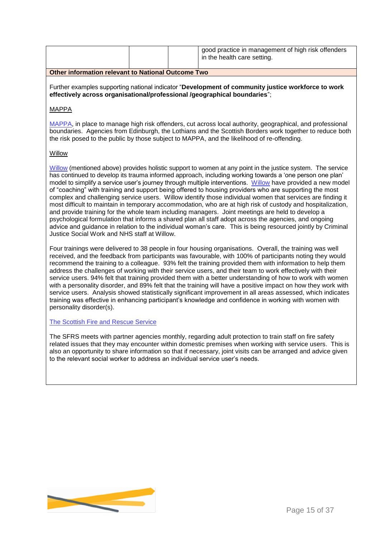|  | good practice in management of high risk offenders<br>in the health care setting. |
|--|-----------------------------------------------------------------------------------|
|--|-----------------------------------------------------------------------------------|

**Other information relevant to National Outcome Two**

Further examples supporting national indicator "**Development of community justice workforce to work effectively across organisational/professional /geographical boundaries**";

#### MAPPA

[MAPPA,](https://www.gov.scot/publications/multi-agency-public-protection-arrangements-mappa-scotland-national-overview-report-2017-18/) in place to manage high risk offenders, cut across local authority, geographical, and professional boundaries. Agencies from Edinburgh, the Lothians and the Scottish Borders work together to reduce both the risk posed to the public by those subject to MAPPA, and the likelihood of re-offending.

#### **Willow**

[Willow](http://www.edinburgh.gov.uk/info/20048/crime/589/willow) (mentioned above) provides holistic support to women at any point in the justice system. The service has continued to develop its trauma informed approach, including working towards a 'one person one plan' model to simplify a service user's journey through multiple interventions. [Willow](https://services.nhslothian.scot/willow/Pages/default.aspx) have provided a new model of "coaching" with training and support being offered to housing providers who are supporting the most complex and challenging service users. Willow identify those individual women that services are finding it most difficult to maintain in temporary accommodation, who are at high risk of custody and hospitalization, and provide training for the whole team including managers. Joint meetings are held to develop a psychological formulation that informs a shared plan all staff adopt across the agencies, and ongoing advice and guidance in relation to the individual woman's care. This is being resourced jointly by Criminal Justice Social Work and NHS staff at Willow.

Four trainings were delivered to 38 people in four housing organisations. Overall, the training was well received, and the feedback from participants was favourable, with 100% of participants noting they would recommend the training to a colleague. 93% felt the training provided them with information to help them address the challenges of working with their service users, and their team to work effectively with their service users. 94% felt that training provided them with a better understanding of how to work with women with a personality disorder, and 89% felt that the training will have a positive impact on how they work with service users. Analysis showed statistically significant improvement in all areas assessed, which indicates training was effective in enhancing participant's knowledge and confidence in working with women with personality disorder(s).

#### [The Scottish Fire and Rescue Service](https://www.firescotland.gov.uk/your-area/east.aspx)

The SFRS meets with partner agencies monthly, regarding adult protection to train staff on fire safety related issues that they may encounter within domestic premises when working with service users. This is also an opportunity to share information so that if necessary, joint visits can be arranged and advice given to the relevant social worker to address an individual service user's needs.

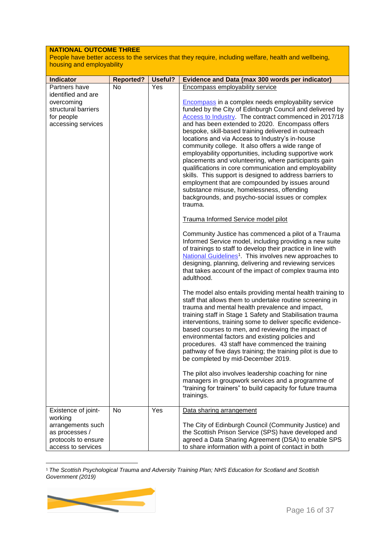### **NATIONAL OUTCOME THREE**

People have better access to the services that they require, including welfare, health and wellbeing, housing and employability

| <b>Indicator</b>                    | <b>Reported?</b> | Useful? | <b>Evidence and Data (max 300 words per indicator)</b>                                                                  |
|-------------------------------------|------------------|---------|-------------------------------------------------------------------------------------------------------------------------|
| Partners have                       | No.              | Yes     | Encompass employability service                                                                                         |
| identified and are                  |                  |         |                                                                                                                         |
| overcoming                          |                  |         | <b>Encompass in a complex needs employability service</b>                                                               |
| structural barriers                 |                  |         | funded by the City of Edinburgh Council and delivered by                                                                |
| for people                          |                  |         | Access to Industry. The contract commenced in 2017/18                                                                   |
| accessing services                  |                  |         | and has been extended to 2020. Encompass offers                                                                         |
|                                     |                  |         | bespoke, skill-based training delivered in outreach<br>locations and via Access to Industry's in-house                  |
|                                     |                  |         | community college. It also offers a wide range of                                                                       |
|                                     |                  |         | employability opportunities, including supportive work                                                                  |
|                                     |                  |         | placements and volunteering, where participants gain                                                                    |
|                                     |                  |         | qualifications in core communication and employability                                                                  |
|                                     |                  |         | skills. This support is designed to address barriers to                                                                 |
|                                     |                  |         | employment that are compounded by issues around<br>substance misuse, homelessness, offending                            |
|                                     |                  |         | backgrounds, and psycho-social issues or complex                                                                        |
|                                     |                  |         | trauma.                                                                                                                 |
|                                     |                  |         | Trauma Informed Service model pilot                                                                                     |
|                                     |                  |         |                                                                                                                         |
|                                     |                  |         | Community Justice has commenced a pilot of a Trauma                                                                     |
|                                     |                  |         | Informed Service model, including providing a new suite<br>of trainings to staff to develop their practice in line with |
|                                     |                  |         | National Guidelines <sup>1</sup> . This involves new approaches to                                                      |
|                                     |                  |         | designing, planning, delivering and reviewing services                                                                  |
|                                     |                  |         | that takes account of the impact of complex trauma into                                                                 |
|                                     |                  |         | adulthood.                                                                                                              |
|                                     |                  |         | The model also entails providing mental health training to                                                              |
|                                     |                  |         | staff that allows them to undertake routine screening in                                                                |
|                                     |                  |         | trauma and mental health prevalence and impact,                                                                         |
|                                     |                  |         | training staff in Stage 1 Safety and Stabilisation trauma<br>interventions, training some to deliver specific evidence- |
|                                     |                  |         | based courses to men, and reviewing the impact of                                                                       |
|                                     |                  |         | environmental factors and existing policies and                                                                         |
|                                     |                  |         | procedures. 43 staff have commenced the training                                                                        |
|                                     |                  |         | pathway of five days training; the training pilot is due to                                                             |
|                                     |                  |         | be completed by mid-December 2019.                                                                                      |
|                                     |                  |         | The pilot also involves leadership coaching for nine                                                                    |
|                                     |                  |         | managers in groupwork services and a programme of                                                                       |
|                                     |                  |         | "training for trainers" to build capacity for future trauma                                                             |
|                                     |                  |         | trainings.                                                                                                              |
| Existence of joint-                 | No               | Yes     | Data sharing arrangement                                                                                                |
| working                             |                  |         |                                                                                                                         |
| arrangements such<br>as processes / |                  |         | The City of Edinburgh Council (Community Justice) and<br>the Scottish Prison Service (SPS) have developed and           |
| protocols to ensure                 |                  |         | agreed a Data Sharing Agreement (DSA) to enable SPS                                                                     |
| access to services                  |                  |         | to share information with a point of contact in both                                                                    |

**<sup>.</sup>** <sup>1</sup> *The Scottish Psychological Trauma and Adversity Training Plan; NHS Education for Scotland and Scottish Government (2019)*

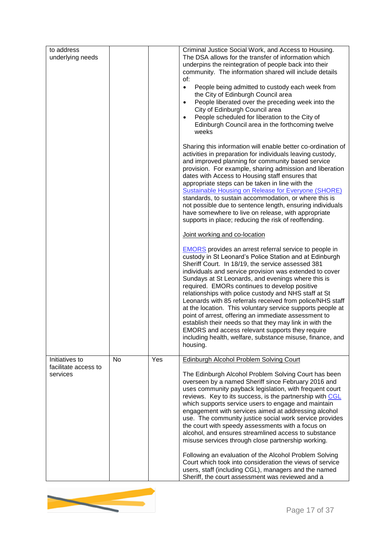| to address<br>underlying needs   |    |     | Criminal Justice Social Work, and Access to Housing.<br>The DSA allows for the transfer of information which<br>underpins the reintegration of people back into their<br>community. The information shared will include details<br>of:<br>People being admitted to custody each week from<br>$\bullet$<br>the City of Edinburgh Council area<br>People liberated over the preceding week into the<br>$\bullet$<br>City of Edinburgh Council area<br>People scheduled for liberation to the City of<br>$\bullet$<br>Edinburgh Council area in the forthcoming twelve<br>weeks<br>Sharing this information will enable better co-ordination of<br>activities in preparation for individuals leaving custody,<br>and improved planning for community based service<br>provision. For example, sharing admission and liberation<br>dates with Access to Housing staff ensures that<br>appropriate steps can be taken in line with the<br>Sustainable Housing on Release for Everyone (SHORE)<br>standards, to sustain accommodation, or where this is<br>not possible due to sentence length, ensuring individuals<br>have somewhere to live on release, with appropriate<br>supports in place; reducing the risk of reoffending.<br>Joint working and co-location<br><b>EMORS</b> provides an arrest referral service to people in<br>custody in St Leonard's Police Station and at Edinburgh<br>Sheriff Court. In 18/19, the service assessed 381<br>individuals and service provision was extended to cover<br>Sundays at St Leonards, and evenings where this is<br>required. EMORs continues to develop positive<br>relationships with police custody and NHS staff at St<br>Leonards with 85 referrals received from police/NHS staff<br>at the location. This voluntary service supports people at<br>point of arrest, offering an immediate assessment to<br>establish their needs so that they may link in with the<br>EMORS and access relevant supports they require |
|----------------------------------|----|-----|-----------------------------------------------------------------------------------------------------------------------------------------------------------------------------------------------------------------------------------------------------------------------------------------------------------------------------------------------------------------------------------------------------------------------------------------------------------------------------------------------------------------------------------------------------------------------------------------------------------------------------------------------------------------------------------------------------------------------------------------------------------------------------------------------------------------------------------------------------------------------------------------------------------------------------------------------------------------------------------------------------------------------------------------------------------------------------------------------------------------------------------------------------------------------------------------------------------------------------------------------------------------------------------------------------------------------------------------------------------------------------------------------------------------------------------------------------------------------------------------------------------------------------------------------------------------------------------------------------------------------------------------------------------------------------------------------------------------------------------------------------------------------------------------------------------------------------------------------------------------------------------------------------------------------------------------------------------------------------|
|                                  |    |     | including health, welfare, substance misuse, finance, and<br>housing.                                                                                                                                                                                                                                                                                                                                                                                                                                                                                                                                                                                                                                                                                                                                                                                                                                                                                                                                                                                                                                                                                                                                                                                                                                                                                                                                                                                                                                                                                                                                                                                                                                                                                                                                                                                                                                                                                                       |
| Initiatives to                   | No | Yes | <b>Edinburgh Alcohol Problem Solving Court</b>                                                                                                                                                                                                                                                                                                                                                                                                                                                                                                                                                                                                                                                                                                                                                                                                                                                                                                                                                                                                                                                                                                                                                                                                                                                                                                                                                                                                                                                                                                                                                                                                                                                                                                                                                                                                                                                                                                                              |
| facilitate access to<br>services |    |     | The Edinburgh Alcohol Problem Solving Court has been<br>overseen by a named Sheriff since February 2016 and<br>uses community payback legislation, with frequent court<br>reviews. Key to its success, is the partnership with CGL<br>which supports service users to engage and maintain<br>engagement with services aimed at addressing alcohol<br>use. The community justice social work service provides<br>the court with speedy assessments with a focus on<br>alcohol, and ensures streamlined access to substance<br>misuse services through close partnership working.                                                                                                                                                                                                                                                                                                                                                                                                                                                                                                                                                                                                                                                                                                                                                                                                                                                                                                                                                                                                                                                                                                                                                                                                                                                                                                                                                                                             |
|                                  |    |     | Following an evaluation of the Alcohol Problem Solving<br>Court which took into consideration the views of service<br>users, staff (including CGL), managers and the named<br>Sheriff, the court assessment was reviewed and a                                                                                                                                                                                                                                                                                                                                                                                                                                                                                                                                                                                                                                                                                                                                                                                                                                                                                                                                                                                                                                                                                                                                                                                                                                                                                                                                                                                                                                                                                                                                                                                                                                                                                                                                              |

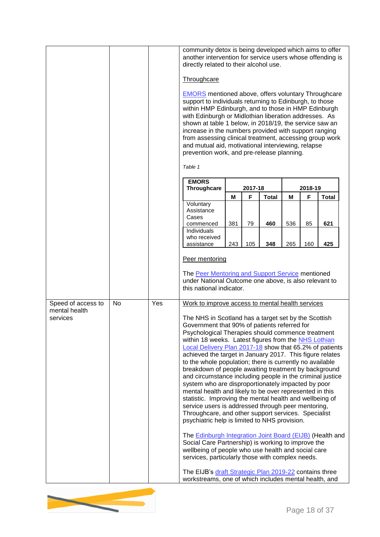|                                                 |    | community detox is being developed which aims to offer<br>another intervention for service users whose offending is<br>directly related to their alcohol use.<br><b>Throughcare</b><br><b>EMORS</b> mentioned above, offers voluntary Throughcare<br>support to individuals returning to Edinburgh, to those<br>within HMP Edinburgh, and to those in HMP Edinburgh<br>with Edinburgh or Midlothian liberation addresses. As<br>shown at table 1 below, in 2018/19, the service saw an |                                                                                                                                                                                                                                                                                                                                                                                                                                                                                                                                                                                                                                                                                                                                                                                                                                                                                                                                                                                                                                                                                                                                                                                                                                                                               |     |              |              |     |              |              |  |
|-------------------------------------------------|----|----------------------------------------------------------------------------------------------------------------------------------------------------------------------------------------------------------------------------------------------------------------------------------------------------------------------------------------------------------------------------------------------------------------------------------------------------------------------------------------|-------------------------------------------------------------------------------------------------------------------------------------------------------------------------------------------------------------------------------------------------------------------------------------------------------------------------------------------------------------------------------------------------------------------------------------------------------------------------------------------------------------------------------------------------------------------------------------------------------------------------------------------------------------------------------------------------------------------------------------------------------------------------------------------------------------------------------------------------------------------------------------------------------------------------------------------------------------------------------------------------------------------------------------------------------------------------------------------------------------------------------------------------------------------------------------------------------------------------------------------------------------------------------|-----|--------------|--------------|-----|--------------|--------------|--|
|                                                 |    |                                                                                                                                                                                                                                                                                                                                                                                                                                                                                        | increase in the numbers provided with support ranging<br>from assessing clinical treatment, accessing group work<br>and mutual aid, motivational interviewing, relapse<br>prevention work, and pre-release planning.<br>Table 1                                                                                                                                                                                                                                                                                                                                                                                                                                                                                                                                                                                                                                                                                                                                                                                                                                                                                                                                                                                                                                               |     |              |              |     |              |              |  |
|                                                 |    |                                                                                                                                                                                                                                                                                                                                                                                                                                                                                        | <b>EMORS</b>                                                                                                                                                                                                                                                                                                                                                                                                                                                                                                                                                                                                                                                                                                                                                                                                                                                                                                                                                                                                                                                                                                                                                                                                                                                                  |     |              |              |     |              |              |  |
|                                                 |    |                                                                                                                                                                                                                                                                                                                                                                                                                                                                                        | Throughcare                                                                                                                                                                                                                                                                                                                                                                                                                                                                                                                                                                                                                                                                                                                                                                                                                                                                                                                                                                                                                                                                                                                                                                                                                                                                   | M   | 2017-18<br>F | <b>Total</b> | M   | 2018-19<br>F | <b>Total</b> |  |
|                                                 |    |                                                                                                                                                                                                                                                                                                                                                                                                                                                                                        | Voluntary<br>Assistance<br>Cases<br>commenced                                                                                                                                                                                                                                                                                                                                                                                                                                                                                                                                                                                                                                                                                                                                                                                                                                                                                                                                                                                                                                                                                                                                                                                                                                 | 381 | 79           | 460          | 536 | 85           | 621          |  |
|                                                 |    | Individuals<br>who received<br>assistance                                                                                                                                                                                                                                                                                                                                                                                                                                              | 243                                                                                                                                                                                                                                                                                                                                                                                                                                                                                                                                                                                                                                                                                                                                                                                                                                                                                                                                                                                                                                                                                                                                                                                                                                                                           | 105 | 348          | 265          | 160 | 425          |              |  |
|                                                 |    |                                                                                                                                                                                                                                                                                                                                                                                                                                                                                        | Peer mentoring<br>The Peer Mentoring and Support Service mentioned<br>under National Outcome one above, is also relevant to<br>this national indicator.                                                                                                                                                                                                                                                                                                                                                                                                                                                                                                                                                                                                                                                                                                                                                                                                                                                                                                                                                                                                                                                                                                                       |     |              |              |     |              |              |  |
| Speed of access to<br>mental health<br>services | No | Yes                                                                                                                                                                                                                                                                                                                                                                                                                                                                                    | Work to improve access to mental health services<br>The NHS in Scotland has a target set by the Scottish<br>Government that 90% of patients referred for<br>Psychological Therapies should commence treatment<br>within 18 weeks. Latest figures from the NHS Lothian<br>Local Delivery Plan 2017-18 show that 65.2% of patients<br>achieved the target in January 2017. This figure relates<br>to the whole population; there is currently no available<br>breakdown of people awaiting treatment by background<br>and circumstance including people in the criminal justice<br>system who are disproportionately impacted by poor<br>mental health and likely to be over represented in this<br>statistic. Improving the mental health and wellbeing of<br>service users is addressed through peer mentoring,<br>Throughcare, and other support services. Specialist<br>psychiatric help is limited to NHS provision.<br>The <b>Edinburgh Integration Joint Board (EIJB)</b> (Health and<br>Social Care Partnership) is working to improve the<br>wellbeing of people who use health and social care<br>services, particularly those with complex needs.<br>The EIJB's draft Strategic Plan 2019-22 contains three<br>workstreams, one of which includes mental health, and |     |              |              |     |              |              |  |

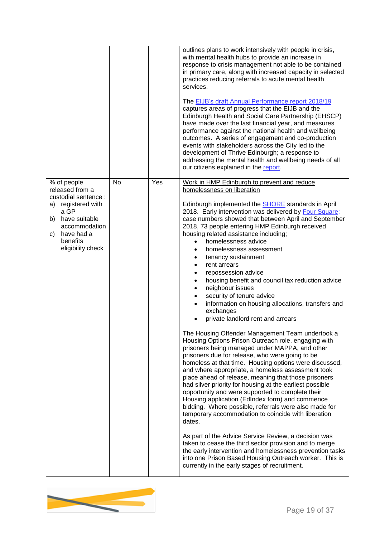|                                                                                                                                              |           |     | outlines plans to work intensively with people in crisis,<br>with mental health hubs to provide an increase in<br>response to crisis management not able to be contained<br>in primary care, along with increased capacity in selected<br>practices reducing referrals to acute mental health<br>services.<br>The EIJB's draft Annual Performance report 2018/19<br>captures areas of progress that the EIJB and the<br>Edinburgh Health and Social Care Partnership (EHSCP)<br>have made over the last financial year, and measures<br>performance against the national health and wellbeing<br>outcomes. A series of engagement and co-production<br>events with stakeholders across the City led to the<br>development of Thrive Edinburgh; a response to<br>addressing the mental health and wellbeing needs of all<br>our citizens explained in the report. |
|----------------------------------------------------------------------------------------------------------------------------------------------|-----------|-----|------------------------------------------------------------------------------------------------------------------------------------------------------------------------------------------------------------------------------------------------------------------------------------------------------------------------------------------------------------------------------------------------------------------------------------------------------------------------------------------------------------------------------------------------------------------------------------------------------------------------------------------------------------------------------------------------------------------------------------------------------------------------------------------------------------------------------------------------------------------|
| % of people<br>released from a                                                                                                               | <b>No</b> | Yes | Work in HMP Edinburgh to prevent and reduce<br>homelessness on liberation                                                                                                                                                                                                                                                                                                                                                                                                                                                                                                                                                                                                                                                                                                                                                                                        |
| custodial sentence :<br>a) registered with<br>a GP<br>b) have suitable<br>accommodation<br>have had a<br>C)<br>benefits<br>eligibility check |           |     | Edinburgh implemented the <b>SHORE</b> standards in April<br>2018. Early intervention was delivered by Four Square;<br>case numbers showed that between April and September<br>2018, 73 people entering HMP Edinburgh received<br>housing related assistance including;<br>homelessness advice<br>$\bullet$<br>homelessness assessment<br>$\bullet$<br>tenancy sustainment<br>$\bullet$<br>rent arrears<br>$\bullet$<br>repossession advice<br>$\bullet$<br>housing benefit and council tax reduction advice<br>$\bullet$<br>neighbour issues<br>$\bullet$<br>security of tenure advice<br>$\bullet$<br>information on housing allocations, transfers and<br>$\bullet$<br>exchanges<br>private landlord rent and arrears                                                                                                                                         |
|                                                                                                                                              |           |     | The Housing Offender Management Team undertook a<br>Housing Options Prison Outreach role, engaging with<br>prisoners being managed under MAPPA, and other<br>prisoners due for release, who were going to be<br>homeless at that time. Housing options were discussed,<br>and where appropriate, a homeless assessment took<br>place ahead of release, meaning that those prisoners<br>had silver priority for housing at the earliest possible<br>opportunity and were supported to complete their<br>Housing application (EdIndex form) and commence<br>bidding. Where possible, referrals were also made for<br>temporary accommodation to coincide with liberation<br>dates.                                                                                                                                                                                 |
|                                                                                                                                              |           |     | As part of the Advice Service Review, a decision was<br>taken to cease the third sector provision and to merge<br>the early intervention and homelessness prevention tasks<br>into one Prison Based Housing Outreach worker. This is<br>currently in the early stages of recruitment.                                                                                                                                                                                                                                                                                                                                                                                                                                                                                                                                                                            |

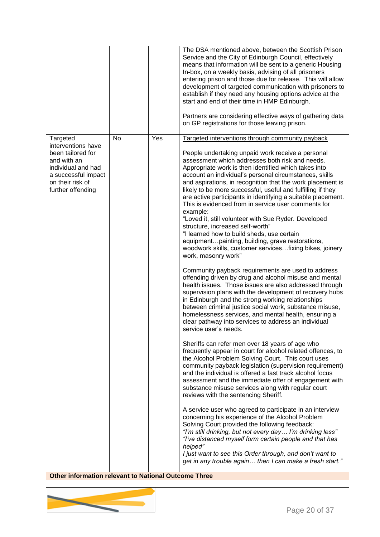|                                                                                                                                                          |    |     | The DSA mentioned above, between the Scottish Prison<br>Service and the City of Edinburgh Council, effectively<br>means that information will be sent to a generic Housing<br>In-box, on a weekly basis, advising of all prisoners<br>entering prison and those due for release. This will allow<br>development of targeted communication with prisoners to<br>establish if they need any housing options advice at the<br>start and end of their time in HMP Edinburgh.<br>Partners are considering effective ways of gathering data<br>on GP registrations for those leaving prison.                                                                                                                                                                                                                                                                                                                                                                                                                                                                                                                                                                                                                                                                                                                                                                                                                                                                                                                                                                                                                                                                                                                                                                                                                                                                                                                                                                                                                        |
|----------------------------------------------------------------------------------------------------------------------------------------------------------|----|-----|---------------------------------------------------------------------------------------------------------------------------------------------------------------------------------------------------------------------------------------------------------------------------------------------------------------------------------------------------------------------------------------------------------------------------------------------------------------------------------------------------------------------------------------------------------------------------------------------------------------------------------------------------------------------------------------------------------------------------------------------------------------------------------------------------------------------------------------------------------------------------------------------------------------------------------------------------------------------------------------------------------------------------------------------------------------------------------------------------------------------------------------------------------------------------------------------------------------------------------------------------------------------------------------------------------------------------------------------------------------------------------------------------------------------------------------------------------------------------------------------------------------------------------------------------------------------------------------------------------------------------------------------------------------------------------------------------------------------------------------------------------------------------------------------------------------------------------------------------------------------------------------------------------------------------------------------------------------------------------------------------------------|
| Targeted<br>interventions have<br>been tailored for<br>and with an<br>individual and had<br>a successful impact<br>on their risk of<br>further offending | No | Yes | Targeted interventions through community payback<br>People undertaking unpaid work receive a personal<br>assessment which addresses both risk and needs.<br>Appropriate work is then identified which takes into<br>account an individual's personal circumstances, skills<br>and aspirations, in recognition that the work placement is<br>likely to be more successful, useful and fulfilling if they<br>are active participants in identifying a suitable placement.<br>This is evidenced from in service user comments for<br>example:<br>"Loved it, still volunteer with Sue Ryder. Developed<br>structure, increased self-worth"<br>"I learned how to build sheds, use certain<br>equipmentpainting, building, grave restorations,<br>woodwork skills, customer servicesfixing bikes, joinery<br>work, masonry work"<br>Community payback requirements are used to address<br>offending driven by drug and alcohol misuse and mental<br>health issues. Those issues are also addressed through<br>supervision plans with the development of recovery hubs<br>in Edinburgh and the strong working relationships<br>between criminal justice social work, substance misuse,<br>homelessness services, and mental health, ensuring a<br>clear pathway into services to address an individual<br>service user's needs.<br>Sheriffs can refer men over 18 years of age who<br>frequently appear in court for alcohol related offences, to<br>the Alcohol Problem Solving Court. This court uses<br>community payback legislation (supervision requirement)<br>and the individual is offered a fast track alcohol focus<br>assessment and the immediate offer of engagement with<br>substance misuse services along with regular court<br>reviews with the sentencing Sheriff.<br>A service user who agreed to participate in an interview<br>concerning his experience of the Alcohol Problem<br>Solving Court provided the following feedback:<br>"I'm still drinking, but not every day I'm drinking less" |
| <b>Other information relevant to National Outcome Three</b>                                                                                              |    |     | "I've distanced myself form certain people and that has<br>helped"<br>I just want to see this Order through, and don't want to<br>get in any trouble again then I can make a fresh start."                                                                                                                                                                                                                                                                                                                                                                                                                                                                                                                                                                                                                                                                                                                                                                                                                                                                                                                                                                                                                                                                                                                                                                                                                                                                                                                                                                                                                                                                                                                                                                                                                                                                                                                                                                                                                    |

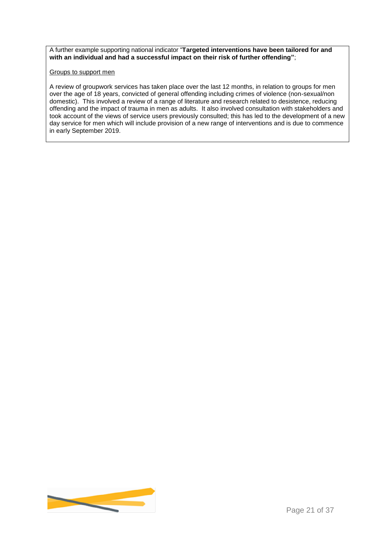A further example supporting national indicator "**Targeted interventions have been tailored for and with an individual and had a successful impact on their risk of further offending"**;

#### Groups to support men

A review of groupwork services has taken place over the last 12 months, in relation to groups for men over the age of 18 years, convicted of general offending including crimes of violence (non-sexual/non domestic). This involved a review of a range of literature and research related to desistence, reducing offending and the impact of trauma in men as adults. It also involved consultation with stakeholders and took account of the views of service users previously consulted; this has led to the development of a new day service for men which will include provision of a new range of interventions and is due to commence in early September 2019.

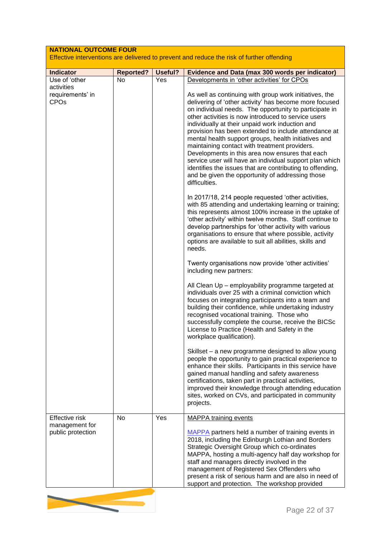## **NATIONAL OUTCOME FOUR** Effective interventions are delivered to prevent and reduce the risk of further offending

| <b>Indicator</b>                                         | <b>Reported?</b> | Useful? | <b>Evidence and Data (max 300 words per indicator)</b>                                                                                                                                                                                                                                                                                                                                                                                                                                                                                                                                                                                                                                                                                                                                                                  |
|----------------------------------------------------------|------------------|---------|-------------------------------------------------------------------------------------------------------------------------------------------------------------------------------------------------------------------------------------------------------------------------------------------------------------------------------------------------------------------------------------------------------------------------------------------------------------------------------------------------------------------------------------------------------------------------------------------------------------------------------------------------------------------------------------------------------------------------------------------------------------------------------------------------------------------------|
| Use of 'other                                            | <b>No</b>        | Yes     | Developments in 'other activities' for CPOs                                                                                                                                                                                                                                                                                                                                                                                                                                                                                                                                                                                                                                                                                                                                                                             |
| activities<br>requirements' in<br><b>CPO<sub>s</sub></b> |                  |         | As well as continuing with group work initiatives, the<br>delivering of 'other activity' has become more focused<br>on individual needs. The opportunity to participate in<br>other activities is now introduced to service users<br>individually at their unpaid work induction and<br>provision has been extended to include attendance at<br>mental health support groups, health initiatives and<br>maintaining contact with treatment providers.<br>Developments in this area now ensures that each<br>service user will have an individual support plan which<br>identifies the issues that are contributing to offending,<br>and be given the opportunity of addressing those<br>difficulties.<br>In 2017/18, 214 people requested 'other activities,<br>with 85 attending and undertaking learning or training; |
|                                                          |                  |         | this represents almost 100% increase in the uptake of<br>'other activity' within twelve months. Staff continue to<br>develop partnerships for 'other activity with various<br>organisations to ensure that where possible, activity<br>options are available to suit all abilities, skills and<br>needs.                                                                                                                                                                                                                                                                                                                                                                                                                                                                                                                |
|                                                          |                  |         | Twenty organisations now provide 'other activities'<br>including new partners:                                                                                                                                                                                                                                                                                                                                                                                                                                                                                                                                                                                                                                                                                                                                          |
|                                                          |                  |         | All Clean Up - employability programme targeted at<br>individuals over 25 with a criminal conviction which<br>focuses on integrating participants into a team and<br>building their confidence, while undertaking industry<br>recognised vocational training. Those who<br>successfully complete the course, receive the BICSc<br>License to Practice (Health and Safety in the<br>workplace qualification).                                                                                                                                                                                                                                                                                                                                                                                                            |
|                                                          |                  |         | Skillset - a new programme designed to allow young<br>people the opportunity to gain practical experience to<br>enhance their skills. Participants in this service have<br>gained manual handling and safety awareness<br>certifications, taken part in practical activities,<br>improved their knowledge through attending education<br>sites, worked on CVs, and participated in community<br>projects.                                                                                                                                                                                                                                                                                                                                                                                                               |
| <b>Effective risk</b>                                    | No               | Yes     | <b>MAPPA training events</b>                                                                                                                                                                                                                                                                                                                                                                                                                                                                                                                                                                                                                                                                                                                                                                                            |
| management for<br>public protection                      |                  |         | MAPPA partners held a number of training events in<br>2018, including the Edinburgh Lothian and Borders<br>Strategic Oversight Group which co-ordinates<br>MAPPA, hosting a multi-agency half day workshop for<br>staff and managers directly involved in the<br>management of Registered Sex Offenders who<br>present a risk of serious harm and are also in need of<br>support and protection. The workshop provided                                                                                                                                                                                                                                                                                                                                                                                                  |

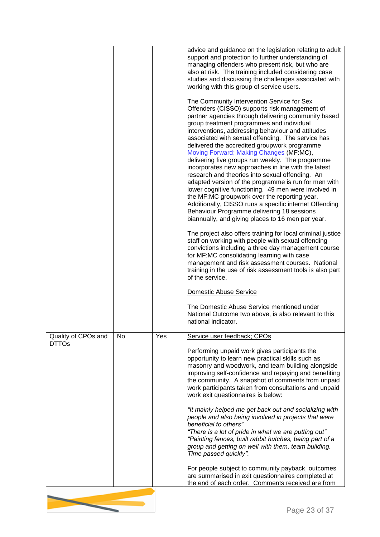|                     |    |     | advice and guidance on the legislation relating to adult<br>support and protection to further understanding of<br>managing offenders who present risk, but who are<br>also at risk. The training included considering case<br>studies and discussing the challenges associated with<br>working with this group of service users.<br>The Community Intervention Service for Sex<br>Offenders (CISSO) supports risk management of<br>partner agencies through delivering community based<br>group treatment programmes and individual<br>interventions, addressing behaviour and attitudes<br>associated with sexual offending. The service has<br>delivered the accredited groupwork programme<br>Moving Forward; Making Changes (MF:MC),<br>delivering five groups run weekly. The programme<br>incorporates new approaches in line with the latest<br>research and theories into sexual offending. An<br>adapted version of the programme is run for men with<br>lower cognitive functioning. 49 men were involved in<br>the MF:MC groupwork over the reporting year.<br>Additionally, CISSO runs a specific internet Offending<br>Behaviour Programme delivering 18 sessions<br>biannually, and giving places to 16 men per year.<br>The project also offers training for local criminal justice<br>staff on working with people with sexual offending<br>convictions including a three day management course<br>for MF:MC consolidating learning with case<br>management and risk assessment courses. National<br>training in the use of risk assessment tools is also part<br>of the service.<br>Domestic Abuse Service<br>The Domestic Abuse Service mentioned under |
|---------------------|----|-----|---------------------------------------------------------------------------------------------------------------------------------------------------------------------------------------------------------------------------------------------------------------------------------------------------------------------------------------------------------------------------------------------------------------------------------------------------------------------------------------------------------------------------------------------------------------------------------------------------------------------------------------------------------------------------------------------------------------------------------------------------------------------------------------------------------------------------------------------------------------------------------------------------------------------------------------------------------------------------------------------------------------------------------------------------------------------------------------------------------------------------------------------------------------------------------------------------------------------------------------------------------------------------------------------------------------------------------------------------------------------------------------------------------------------------------------------------------------------------------------------------------------------------------------------------------------------------------------------------------------------------------------------------------------------------|
|                     |    |     | National Outcome two above, is also relevant to this<br>national indicator.                                                                                                                                                                                                                                                                                                                                                                                                                                                                                                                                                                                                                                                                                                                                                                                                                                                                                                                                                                                                                                                                                                                                                                                                                                                                                                                                                                                                                                                                                                                                                                                               |
| Quality of CPOs and | No | Yes | Service user feedback; CPOs                                                                                                                                                                                                                                                                                                                                                                                                                                                                                                                                                                                                                                                                                                                                                                                                                                                                                                                                                                                                                                                                                                                                                                                                                                                                                                                                                                                                                                                                                                                                                                                                                                               |
| <b>DTTOs</b>        |    |     | Performing unpaid work gives participants the<br>opportunity to learn new practical skills such as<br>masonry and woodwork, and team building alongside<br>improving self-confidence and repaying and benefiting<br>the community. A snapshot of comments from unpaid<br>work participants taken from consultations and unpaid<br>work exit questionnaires is below:<br>"It mainly helped me get back out and socializing with<br>people and also being involved in projects that were<br>beneficial to others"<br>"There is a lot of pride in what we are putting out"<br>"Painting fences, built rabbit hutches, being part of a<br>group and getting on well with them, team building.<br>Time passed quickly".<br>For people subject to community payback, outcomes                                                                                                                                                                                                                                                                                                                                                                                                                                                                                                                                                                                                                                                                                                                                                                                                                                                                                                   |
|                     |    |     | are summarised in exit questionnaires completed at<br>the end of each order. Comments received are from                                                                                                                                                                                                                                                                                                                                                                                                                                                                                                                                                                                                                                                                                                                                                                                                                                                                                                                                                                                                                                                                                                                                                                                                                                                                                                                                                                                                                                                                                                                                                                   |

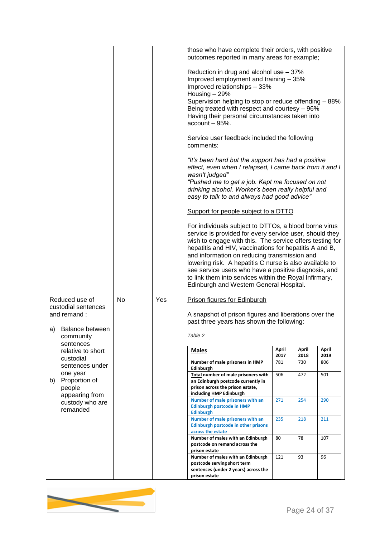|                                                             |           |     | those who have complete their orders, with positive<br>outcomes reported in many areas for example;                                                                                                                                                                                                                                                                                                                                                                                                            |               |               |               |  |  |  |
|-------------------------------------------------------------|-----------|-----|----------------------------------------------------------------------------------------------------------------------------------------------------------------------------------------------------------------------------------------------------------------------------------------------------------------------------------------------------------------------------------------------------------------------------------------------------------------------------------------------------------------|---------------|---------------|---------------|--|--|--|
|                                                             |           |     | Reduction in drug and alcohol use - 37%<br>Improved employment and training - 35%<br>Improved relationships - 33%<br>Housing - 29%<br>Supervision helping to stop or reduce offending - 88%<br>Being treated with respect and courtesy - 96%<br>Having their personal circumstances taken into<br>$account - 95%$ .                                                                                                                                                                                            |               |               |               |  |  |  |
|                                                             |           |     | Service user feedback included the following<br>comments:                                                                                                                                                                                                                                                                                                                                                                                                                                                      |               |               |               |  |  |  |
|                                                             |           |     | "It's been hard but the support has had a positive<br>effect, even when I relapsed, I came back from it and I<br>wasn't judged"<br>"Pushed me to get a job. Kept me focused on not<br>drinking alcohol. Worker's been really helpful and<br>easy to talk to and always had good advice"                                                                                                                                                                                                                        |               |               |               |  |  |  |
|                                                             |           |     | Support for people subject to a DTTO                                                                                                                                                                                                                                                                                                                                                                                                                                                                           |               |               |               |  |  |  |
|                                                             |           |     | For individuals subject to DTTOs, a blood borne virus<br>service is provided for every service user, should they<br>wish to engage with this. The service offers testing for<br>hepatitis and HIV, vaccinations for hepatitis A and B,<br>and information on reducing transmission and<br>lowering risk. A hepatitis C nurse is also available to<br>see service users who have a positive diagnosis, and<br>to link them into services within the Royal Infirmary,<br>Edinburgh and Western General Hospital. |               |               |               |  |  |  |
| Reduced use of<br>custodial sentences                       | <b>No</b> | Yes | Prison figures for Edinburgh                                                                                                                                                                                                                                                                                                                                                                                                                                                                                   |               |               |               |  |  |  |
| and remand:                                                 |           |     | A snapshot of prison figures and liberations over the                                                                                                                                                                                                                                                                                                                                                                                                                                                          |               |               |               |  |  |  |
| a) Balance between                                          |           |     | past three years has shown the following:                                                                                                                                                                                                                                                                                                                                                                                                                                                                      |               |               |               |  |  |  |
| community<br>sentences                                      |           |     | Table 2                                                                                                                                                                                                                                                                                                                                                                                                                                                                                                        |               |               |               |  |  |  |
| relative to short<br>custodial                              |           |     | <b>Males</b>                                                                                                                                                                                                                                                                                                                                                                                                                                                                                                   | April<br>2017 | April<br>2018 | April<br>2019 |  |  |  |
| sentences under                                             |           |     | Number of male prisoners in HMP<br>Edinburgh                                                                                                                                                                                                                                                                                                                                                                                                                                                                   | 781           | 730           | 806           |  |  |  |
| one year<br>Proportion of<br>b)<br>people<br>appearing from |           |     | Total number of male prisoners with<br>an Edinburgh postcode currently in<br>prison across the prison estate,<br>including HMP Edinburgh                                                                                                                                                                                                                                                                                                                                                                       | 506           | 472           | 501           |  |  |  |
| custody who are<br>remanded                                 |           |     | Number of male prisoners with an<br><b>Edinburgh postcode in HMP</b><br><b>Edinburgh</b>                                                                                                                                                                                                                                                                                                                                                                                                                       | 271           | 254           | 290           |  |  |  |
|                                                             |           |     | Number of male prisoners with an<br>Edinburgh postcode in other prisons                                                                                                                                                                                                                                                                                                                                                                                                                                        | 235           | 218           | 211           |  |  |  |
|                                                             |           |     | across the estate<br>Number of males with an Edinburgh<br>postcode on remand across the                                                                                                                                                                                                                                                                                                                                                                                                                        | 80            | 78            | 107           |  |  |  |
|                                                             |           |     | prison estate<br>Number of males with an Edinburgh                                                                                                                                                                                                                                                                                                                                                                                                                                                             | 121           | 93            | 96            |  |  |  |
|                                                             |           |     | postcode serving short term<br>sentences (under 2 years) across the                                                                                                                                                                                                                                                                                                                                                                                                                                            |               |               |               |  |  |  |
|                                                             |           |     | prison estate                                                                                                                                                                                                                                                                                                                                                                                                                                                                                                  |               |               |               |  |  |  |

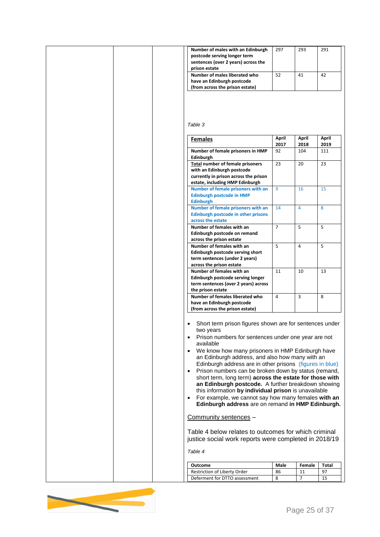| Number of males with an Edinburgh                                    | 297            | 293            | 291   |
|----------------------------------------------------------------------|----------------|----------------|-------|
| postcode serving longer term                                         |                |                |       |
| sentences (over 2 years) across the                                  |                |                |       |
| prison estate                                                        |                |                |       |
| Number of males liberated who                                        | 52             | 41             | 42    |
| have an Edinburgh postcode                                           |                |                |       |
| (from across the prison estate)                                      |                |                |       |
|                                                                      |                |                |       |
|                                                                      |                |                |       |
|                                                                      |                |                |       |
|                                                                      |                |                |       |
|                                                                      |                |                |       |
| Table 3                                                              |                |                |       |
|                                                                      |                |                |       |
| <b>Females</b>                                                       | April          | April          | April |
|                                                                      | 2017           | 2018           | 2019  |
| Number of female prisoners in HMP                                    | 92             | 104            | 111   |
| <b>Edinburgh</b>                                                     |                |                |       |
| Total number of female prisoners                                     | 23             | 20             | 23    |
| with an Edinburgh postcode                                           |                |                |       |
| currently in prison across the prison                                |                |                |       |
| estate, including HMP Edinburgh                                      |                |                |       |
| Number of female prisoners with an                                   | 9              | 16             | 15    |
| <b>Edinburgh postcode in HMP</b>                                     |                |                |       |
| <b>Edinburgh</b>                                                     |                |                |       |
| Number of female prisoners with an                                   | 14             | $\overline{4}$ | 8     |
| Edinburgh postcode in other prisons                                  |                |                |       |
| across the estate                                                    |                |                |       |
| Number of females with an                                            | $\overline{7}$ | 5              | 5     |
| Edinburgh postcode on remand                                         |                |                |       |
| across the prison estate                                             |                |                |       |
| Number of females with an                                            | 5              | 4              | 5     |
| Edinburgh postcode serving short                                     |                |                |       |
| term sentences (under 2 years)                                       |                |                |       |
| across the prison estate                                             |                |                |       |
| Number of females with an                                            | 11             | 10             | 13    |
| Edinburgh postcode serving longer                                    |                |                |       |
| term sentences (over 2 years) across                                 |                |                |       |
| the prison estate                                                    |                |                |       |
| Number of females liberated who                                      | 4              | 3              | 8     |
| have an Edinburgh postcode                                           |                |                |       |
| (from across the prison estate)                                      |                |                |       |
|                                                                      |                |                |       |
|                                                                      |                |                |       |
| Short term prison figures shown are for sentences under<br>$\bullet$ |                |                |       |
| two years                                                            |                |                |       |
| Prison numbers for sentences under one year are not<br>$\bullet$     |                |                |       |
| available                                                            |                |                |       |
| We know how many prisoners in HMP Edinburgh have<br>$\bullet$        |                |                |       |
| an Edinburgh address, and also how many with an                      |                |                |       |
| Edinburgh address are in other prisons (figures in blue)             |                |                |       |
| Prison numbers can be broken down by status (remand,<br>$\bullet$    |                |                |       |
| short term, long term) across the estate for those with              |                |                |       |
|                                                                      |                |                |       |
| an Edinburgh postcode. A further breakdown showing                   |                |                |       |
| this information by individual prison is unavailable                 |                |                |       |
| For example, we cannot say how many females with an<br>$\bullet$     |                |                |       |
| Edinburgh address are on remand in HMP Edinburgh.                    |                |                |       |
| Community sentences -                                                |                |                |       |
|                                                                      |                |                |       |
| Table 4 below relates to outcomes for which criminal                 |                |                |       |
| justice social work reports were completed in 2018/19                |                |                |       |
| Table 4                                                              |                |                |       |
|                                                                      |                |                |       |
| Outcome                                                              | Male           | Female         | Total |
| Restriction of Liberty Order                                         | 86             | 11             | 97    |
| Deferment for DTTO assessment                                        | 8              | $\overline{7}$ | 15    |

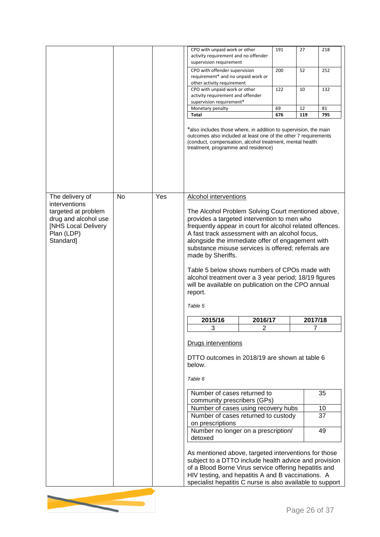|                                                                                                                                          |           | CPO with unpaid work or other<br>activity requirement and no offender<br>supervision requirement<br>CPO with offender supervision<br>requirement* and no unpaid work or<br>other activity requirement<br>CPO with unpaid work or other<br>activity requirement and offender<br>supervision requirement*<br>Monetary penalty<br><b>Total</b><br>*also includes those where, in addition to supervision, the main<br>outcomes also included at least one of the other 7 requirements<br>(conduct, compensation, alcohol treatment, mental health<br>treatment, programme and residence) |                | 191<br>200<br>122<br>69<br>676 | 27<br>52<br>10<br>12<br>119 | 218<br>252<br>132<br>81<br>795 |  |  |
|------------------------------------------------------------------------------------------------------------------------------------------|-----------|---------------------------------------------------------------------------------------------------------------------------------------------------------------------------------------------------------------------------------------------------------------------------------------------------------------------------------------------------------------------------------------------------------------------------------------------------------------------------------------------------------------------------------------------------------------------------------------|----------------|--------------------------------|-----------------------------|--------------------------------|--|--|
|                                                                                                                                          |           |                                                                                                                                                                                                                                                                                                                                                                                                                                                                                                                                                                                       |                |                                |                             |                                |  |  |
| The delivery of<br>interventions<br>targeted at problem<br>drug and alcohol use<br><b>INHS Local Delivery</b><br>Plan (LDP)<br>Standard] | No<br>Yes | Alcohol interventions<br>The Alcohol Problem Solving Court mentioned above,<br>provides a targeted intervention to men who<br>frequently appear in court for alcohol related offences.<br>A fast track assessment with an alcohol focus,<br>alongside the immediate offer of engagement with<br>substance misuse services is offered; referrals are<br>made by Sheriffs.<br>Table 5 below shows numbers of CPOs made with<br>alcohol treatment over a 3 year period; 18/19 figures<br>will be available on publication on the CPO annual<br>report.<br>Table 5                        |                |                                |                             |                                |  |  |
|                                                                                                                                          |           | 2015/16                                                                                                                                                                                                                                                                                                                                                                                                                                                                                                                                                                               | 2016/17        |                                |                             | 2017/18                        |  |  |
|                                                                                                                                          |           | 3                                                                                                                                                                                                                                                                                                                                                                                                                                                                                                                                                                                     | $\overline{c}$ |                                |                             | 7                              |  |  |
|                                                                                                                                          |           | <b>Drugs interventions</b><br>DTTO outcomes in 2018/19 are shown at table 6<br>below.<br>Table 6<br>Number of cases returned to<br>community prescribers (GPs)                                                                                                                                                                                                                                                                                                                                                                                                                        |                |                                | 35                          |                                |  |  |
|                                                                                                                                          |           | Number of cases using recovery hubs                                                                                                                                                                                                                                                                                                                                                                                                                                                                                                                                                   |                |                                |                             | 10                             |  |  |
|                                                                                                                                          |           | Number of cases returned to custody<br>on prescriptions<br>Number no longer on a prescription/                                                                                                                                                                                                                                                                                                                                                                                                                                                                                        |                |                                |                             | 37<br>49                       |  |  |
|                                                                                                                                          |           | detoxed                                                                                                                                                                                                                                                                                                                                                                                                                                                                                                                                                                               |                |                                |                             |                                |  |  |
|                                                                                                                                          |           | As mentioned above, targeted interventions for those<br>subject to a DTTO include health advice and provision<br>of a Blood Borne Virus service offering hepatitis and<br>HIV testing, and hepatitis A and B vaccinations. A<br>specialist hepatitis C nurse is also available to support                                                                                                                                                                                                                                                                                             |                |                                |                             |                                |  |  |

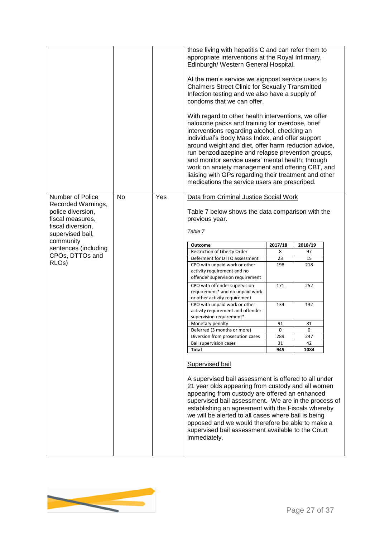|                                                                                                                                           |    |     | those living with hepatitis C and can refer them to<br>appropriate interventions at the Royal Infirmary,<br>Edinburgh/ Western General Hospital.<br>At the men's service we signpost service users to                                                                                                                                                                                                                                                                                                                                     |         |         |  |  |  |
|-------------------------------------------------------------------------------------------------------------------------------------------|----|-----|-------------------------------------------------------------------------------------------------------------------------------------------------------------------------------------------------------------------------------------------------------------------------------------------------------------------------------------------------------------------------------------------------------------------------------------------------------------------------------------------------------------------------------------------|---------|---------|--|--|--|
|                                                                                                                                           |    |     | <b>Chalmers Street Clinic for Sexually Transmitted</b><br>Infection testing and we also have a supply of<br>condoms that we can offer.                                                                                                                                                                                                                                                                                                                                                                                                    |         |         |  |  |  |
|                                                                                                                                           |    |     | With regard to other health interventions, we offer<br>naloxone packs and training for overdose, brief<br>interventions regarding alcohol, checking an<br>individual's Body Mass Index, and offer support<br>around weight and diet, offer harm reduction advice,<br>run benzodiazepine and relapse prevention groups,<br>and monitor service users' mental health; through<br>work on anxiety management and offering CBT, and<br>liaising with GPs regarding their treatment and other<br>medications the service users are prescribed. |         |         |  |  |  |
| Number of Police                                                                                                                          | No | Yes | Data from Criminal Justice Social Work                                                                                                                                                                                                                                                                                                                                                                                                                                                                                                    |         |         |  |  |  |
| Recorded Warnings,<br>police diversion,<br>fiscal measures,<br>fiscal diversion,<br>supervised bail,<br>community<br>sentences (including |    |     | Table 7 below shows the data comparison with the<br>previous year.<br>Table 7                                                                                                                                                                                                                                                                                                                                                                                                                                                             |         |         |  |  |  |
|                                                                                                                                           |    |     | Outcome                                                                                                                                                                                                                                                                                                                                                                                                                                                                                                                                   | 2017/18 | 2018/19 |  |  |  |
|                                                                                                                                           |    |     | Restriction of Liberty Order                                                                                                                                                                                                                                                                                                                                                                                                                                                                                                              | 8       | 97      |  |  |  |
| CPOs, DTTOs and<br>RLO <sub>s</sub> )                                                                                                     |    |     | Deferment for DTTO assessment                                                                                                                                                                                                                                                                                                                                                                                                                                                                                                             | 23      | 15      |  |  |  |
|                                                                                                                                           |    |     | CPO with unpaid work or other<br>activity requirement and no<br>offender supervision requirement                                                                                                                                                                                                                                                                                                                                                                                                                                          | 198     | 218     |  |  |  |
|                                                                                                                                           |    |     | CPO with offender supervision<br>requirement* and no unpaid work<br>or other activity requirement                                                                                                                                                                                                                                                                                                                                                                                                                                         | 171     | 252     |  |  |  |
|                                                                                                                                           |    |     | CPO with unpaid work or other<br>activity requirement and offender<br>supervision requirement*                                                                                                                                                                                                                                                                                                                                                                                                                                            | 134     | 132     |  |  |  |
|                                                                                                                                           |    |     | Monetary penalty                                                                                                                                                                                                                                                                                                                                                                                                                                                                                                                          | 91      | 81      |  |  |  |
|                                                                                                                                           |    |     | Deferred (3 months or more)                                                                                                                                                                                                                                                                                                                                                                                                                                                                                                               | 0       | 0       |  |  |  |
|                                                                                                                                           |    |     | Diversion from prosecution cases                                                                                                                                                                                                                                                                                                                                                                                                                                                                                                          | 289     | 247     |  |  |  |
|                                                                                                                                           |    |     | <b>Bail supervision cases</b>                                                                                                                                                                                                                                                                                                                                                                                                                                                                                                             | 31      | 42      |  |  |  |
|                                                                                                                                           |    |     | Total                                                                                                                                                                                                                                                                                                                                                                                                                                                                                                                                     | 945     | 1084    |  |  |  |
|                                                                                                                                           |    |     | <b>Supervised bail</b><br>A supervised bail assessment is offered to all under<br>21 year olds appearing from custody and all women<br>appearing from custody are offered an enhanced<br>supervised bail assessment. We are in the process of<br>establishing an agreement with the Fiscals whereby<br>we will be alerted to all cases where bail is being<br>opposed and we would therefore be able to make a<br>supervised bail assessment available to the Court<br>immediately.                                                       |         |         |  |  |  |

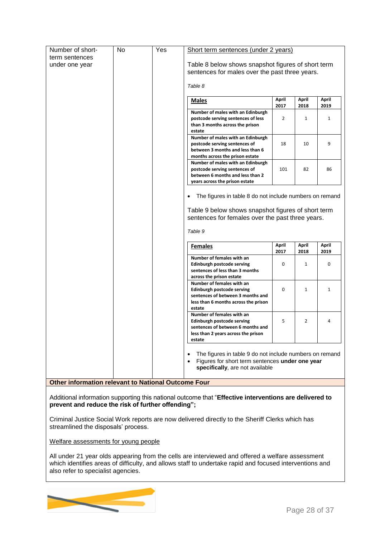| Number of short-                 | No | Yes | Short term sentences (under 2 years)                                                                                                                                         |               |                |               |
|----------------------------------|----|-----|------------------------------------------------------------------------------------------------------------------------------------------------------------------------------|---------------|----------------|---------------|
| term sentences<br>under one year |    |     | Table 8 below shows snapshot figures of short term<br>sentences for males over the past three years.                                                                         |               |                |               |
|                                  |    |     | Table 8                                                                                                                                                                      |               |                |               |
|                                  |    |     | <b>Males</b>                                                                                                                                                                 | April<br>2017 | April<br>2018  | April<br>2019 |
|                                  |    |     | Number of males with an Edinburgh<br>postcode serving sentences of less<br>than 3 months across the prison<br>estate                                                         | 2             | 1              | 1             |
|                                  |    |     | Number of males with an Edinburgh<br>postcode serving sentences of<br>between 3 months and less than 6<br>months across the prison estate                                    | 18            | 10             | 9             |
|                                  |    |     | Number of males with an Edinburgh<br>postcode serving sentences of<br>between 6 months and less than 2<br>years across the prison estate                                     | 101           | 82             | 86            |
|                                  |    |     | The figures in table 8 do not include numbers on remand<br>Table 9 below shows snapshot figures of short term<br>sentences for females over the past three years.<br>Table 9 |               |                |               |
|                                  |    |     | <b>Females</b>                                                                                                                                                               | April<br>2017 | April<br>2018  | April<br>2019 |
|                                  |    |     | Number of females with an<br>Edinburgh postcode serving<br>sentences of less than 3 months<br>across the prison estate                                                       | 0             | 1              | 0             |
|                                  |    |     | Number of females with an<br>Edinburgh postcode serving<br>sentences of between 3 months and<br>less than 6 months across the prison<br>estate                               | 0             | 1              | $\mathbf{1}$  |
|                                  |    |     | Number of females with an<br>Edinburgh postcode serving<br>sentences of between 6 months and<br>less than 2 years across the prison<br>estate                                | 5             | $\overline{2}$ | 4             |
|                                  |    |     | The figures in table 9 do not include numbers on remand<br>Figures for short term sentences under one year<br>specifically, are not available                                |               |                |               |

**Other information relevant to National Outcome Four**

Additional information supporting this national outcome that "**Effective interventions are delivered to prevent and reduce the risk of further offending";**

Criminal Justice Social Work reports are now delivered directly to the Sheriff Clerks which has streamlined the disposals' process.

Welfare assessments for young people

All under 21 year olds appearing from the cells are interviewed and offered a welfare assessment which identifies areas of difficulty, and allows staff to undertake rapid and focused interventions and also refer to specialist agencies.

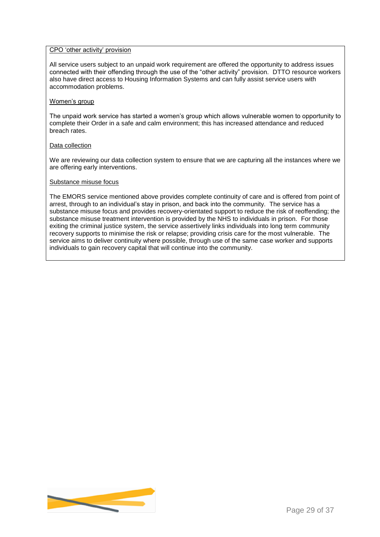#### CPO 'other activity' provision

All service users subject to an unpaid work requirement are offered the opportunity to address issues connected with their offending through the use of the "other activity" provision. DTTO resource workers also have direct access to Housing Information Systems and can fully assist service users with accommodation problems.

#### Women's group

The unpaid work service has started a women's group which allows vulnerable women to opportunity to complete their Order in a safe and calm environment; this has increased attendance and reduced breach rates.

#### Data collection

We are reviewing our data collection system to ensure that we are capturing all the instances where we are offering early interventions.

#### Substance misuse focus

The EMORS service mentioned above provides complete continuity of care and is offered from point of arrest, through to an individual's stay in prison, and back into the community. The service has a substance misuse focus and provides recovery-orientated support to reduce the risk of reoffending; the substance misuse treatment intervention is provided by the NHS to individuals in prison. For those exiting the criminal justice system, the service assertively links individuals into long term community recovery supports to minimise the risk or relapse; providing crisis care for the most vulnerable. The service aims to deliver continuity where possible, through use of the same case worker and supports individuals to gain recovery capital that will continue into the community.

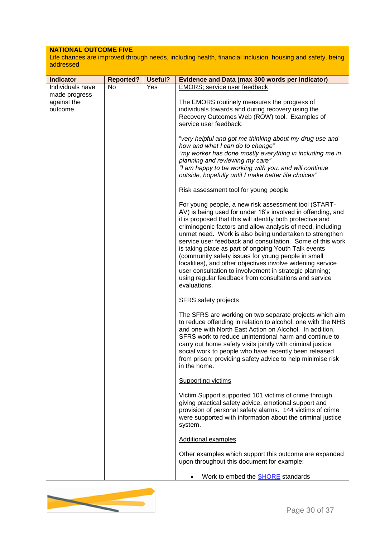## **NATIONAL OUTCOME FIVE**

Life chances are improved through needs, including health, financial inclusion, housing and safety, being addressed

| <b>Indicator</b> | <b>Reported?</b> | Useful? | <b>Evidence and Data (max 300 words per indicator)</b>                                                                  |
|------------------|------------------|---------|-------------------------------------------------------------------------------------------------------------------------|
| Individuals have | No               | Yes     | EMORS; service user feedback                                                                                            |
| made progress    |                  |         |                                                                                                                         |
| against the      |                  |         | The EMORS routinely measures the progress of                                                                            |
| outcome          |                  |         | individuals towards and during recovery using the                                                                       |
|                  |                  |         | Recovery Outcomes Web (ROW) tool. Examples of                                                                           |
|                  |                  |         | service user feedback:                                                                                                  |
|                  |                  |         |                                                                                                                         |
|                  |                  |         | "very helpful and got me thinking about my drug use and                                                                 |
|                  |                  |         | how and what I can do to change"                                                                                        |
|                  |                  |         | "my worker has done mostly everything in including me in                                                                |
|                  |                  |         | planning and reviewing my care"                                                                                         |
|                  |                  |         |                                                                                                                         |
|                  |                  |         | "I am happy to be working with you, and will continue                                                                   |
|                  |                  |         | outside, hopefully until I make better life choices"                                                                    |
|                  |                  |         |                                                                                                                         |
|                  |                  |         | Risk assessment tool for young people                                                                                   |
|                  |                  |         | For young people, a new risk assessment tool (START-                                                                    |
|                  |                  |         | AV) is being used for under 18's involved in offending, and                                                             |
|                  |                  |         | it is proposed that this will identify both protective and                                                              |
|                  |                  |         | criminogenic factors and allow analysis of need, including                                                              |
|                  |                  |         | unmet need. Work is also being undertaken to strengthen                                                                 |
|                  |                  |         | service user feedback and consultation. Some of this work                                                               |
|                  |                  |         |                                                                                                                         |
|                  |                  |         | is taking place as part of ongoing Youth Talk events                                                                    |
|                  |                  |         | (community safety issues for young people in small                                                                      |
|                  |                  |         | localities), and other objectives involve widening service                                                              |
|                  |                  |         | user consultation to involvement in strategic planning;                                                                 |
|                  |                  |         | using regular feedback from consultations and service                                                                   |
|                  |                  |         | evaluations.                                                                                                            |
|                  |                  |         |                                                                                                                         |
|                  |                  |         | <b>SFRS</b> safety projects                                                                                             |
|                  |                  |         | The SFRS are working on two separate projects which aim                                                                 |
|                  |                  |         | to reduce offending in relation to alcohol; one with the NHS                                                            |
|                  |                  |         | and one with North East Action on Alcohol. In addition,                                                                 |
|                  |                  |         | SFRS work to reduce unintentional harm and continue to                                                                  |
|                  |                  |         | carry out home safety visits jointly with criminal justice                                                              |
|                  |                  |         | social work to people who have recently been released                                                                   |
|                  |                  |         | from prison; providing safety advice to help minimise risk                                                              |
|                  |                  |         | in the home.                                                                                                            |
|                  |                  |         |                                                                                                                         |
|                  |                  |         | <b>Supporting victims</b>                                                                                               |
|                  |                  |         | Victim Support supported 101 victims of crime through                                                                   |
|                  |                  |         | giving practical safety advice, emotional support and                                                                   |
|                  |                  |         |                                                                                                                         |
|                  |                  |         | provision of personal safety alarms. 144 victims of crime<br>were supported with information about the criminal justice |
|                  |                  |         |                                                                                                                         |
|                  |                  |         | system.                                                                                                                 |
|                  |                  |         | Additional examples                                                                                                     |
|                  |                  |         |                                                                                                                         |
|                  |                  |         | Other examples which support this outcome are expanded                                                                  |
|                  |                  |         | upon throughout this document for example:                                                                              |
|                  |                  |         |                                                                                                                         |
|                  |                  |         | Work to embed the <b>SHORE</b> standards                                                                                |

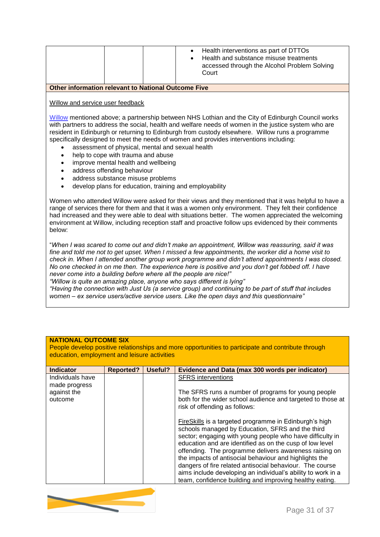|  | Health interventions as part of DTTOs<br>Health and substance misuse treatments<br>accessed through the Alcohol Problem Solving<br>Court |
|--|------------------------------------------------------------------------------------------------------------------------------------------|
|--|------------------------------------------------------------------------------------------------------------------------------------------|

**Other information relevant to National Outcome Five**

Willow and service user feedback

[Willow](https://services.nhslothian.scot/willow/Pages/default.aspx) mentioned above; a partnership between NHS Lothian and the City of Edinburgh Council works with partners to address the social, health and welfare needs of women in the justice system who are resident in Edinburgh or returning to Edinburgh from custody elsewhere. Willow runs a programme specifically designed to meet the needs of women and provides interventions including:

- assessment of physical, mental and sexual health
- help to cope with trauma and abuse
- improve mental health and wellbeing
- address offending behaviour
- address substance misuse problems
- develop plans for education, training and employability

Women who attended Willow were asked for their views and they mentioned that it was helpful to have a range of services there for them and that it was a women only environment. They felt their confidence had increased and they were able to deal with situations better. The women appreciated the welcoming environment at Willow, including reception staff and proactive follow ups evidenced by their comments below:

"*When I was scared to come out and didn't make an appointment, Willow was reassuring, said it was fine and told me not to get upset. When I missed a few appointments, the worker did a home visit to check in. When I attended another group work programme and didn't attend appointments I was closed. No one checked in on me then. The experience here is positive and you don't get fobbed off. I have never come into a building before where all the people are nice!"*

*"Willow is quite an amazing place, anyone who says different is lying"*

*"Having the connection with Just Us (a service group) and continuing to be part of stuff that includes women – ex service users/active service users. Like the open days and this questionnaire"*

| <b>NATIONAL OUTCOME SIX</b> |  |  |
|-----------------------------|--|--|
|                             |  |  |

People develop positive relationships and more opportunities to participate and contribute through education, employment and leisure activities

| <b>Indicator</b>                        | <b>Reported?</b> | Useful? | Evidence and Data (max 300 words per indicator)                                                                                                                                                                                                                                                                                                                                                                                                                                                                                                |
|-----------------------------------------|------------------|---------|------------------------------------------------------------------------------------------------------------------------------------------------------------------------------------------------------------------------------------------------------------------------------------------------------------------------------------------------------------------------------------------------------------------------------------------------------------------------------------------------------------------------------------------------|
| Individuals have                        |                  |         | <b>SFRS</b> interventions                                                                                                                                                                                                                                                                                                                                                                                                                                                                                                                      |
| made progress<br>against the<br>outcome |                  |         | The SFRS runs a number of programs for young people<br>both for the wider school audience and targeted to those at<br>risk of offending as follows:                                                                                                                                                                                                                                                                                                                                                                                            |
|                                         |                  |         | FireSkills is a targeted programme in Edinburgh's high<br>schools managed by Education, SFRS and the third<br>sector; engaging with young people who have difficulty in<br>education and are identified as on the cusp of low level<br>offending. The programme delivers awareness raising on<br>the impacts of antisocial behaviour and highlights the<br>dangers of fire related antisocial behaviour. The course<br>aims include developing an individual's ability to work in a<br>team, confidence building and improving healthy eating. |

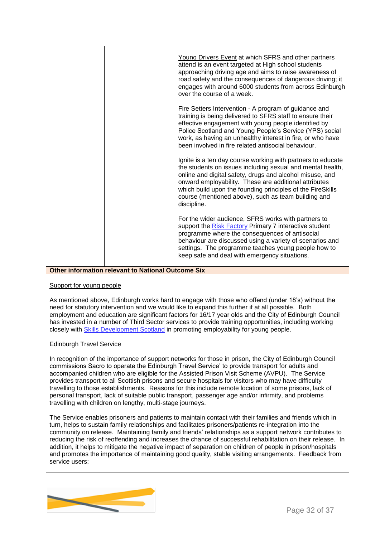|                                                           | Young Drivers Event at which SFRS and other partners<br>attend is an event targeted at High school students<br>approaching driving age and aims to raise awareness of<br>road safety and the consequences of dangerous driving; it<br>engages with around 6000 students from across Edinburgh<br>over the course of a week.<br>Fire Setters Intervention - A program of guidance and |  |  |
|-----------------------------------------------------------|--------------------------------------------------------------------------------------------------------------------------------------------------------------------------------------------------------------------------------------------------------------------------------------------------------------------------------------------------------------------------------------|--|--|
|                                                           | training is being delivered to SFRS staff to ensure their<br>effective engagement with young people identified by<br>Police Scotland and Young People's Service (YPS) social<br>work, as having an unhealthy interest in fire, or who have<br>been involved in fire related antisocial behaviour.                                                                                    |  |  |
|                                                           | Ignite is a ten day course working with partners to educate<br>the students on issues including sexual and mental health,<br>online and digital safety, drugs and alcohol misuse, and<br>onward employability. These are additional attributes<br>which build upon the founding principles of the FireSkills<br>course (mentioned above), such as team building and<br>discipline.   |  |  |
|                                                           | For the wider audience, SFRS works with partners to<br>support the Risk Factory Primary 7 interactive student<br>programme where the consequences of antisocial<br>behaviour are discussed using a variety of scenarios and<br>settings. The programme teaches young people how to<br>keep safe and deal with emergency situations.                                                  |  |  |
| <b>Other information relevant to National Outcome Six</b> |                                                                                                                                                                                                                                                                                                                                                                                      |  |  |

#### Support for young people

As mentioned above, Edinburgh works hard to engage with those who offend (under 18's) without the need for statutory intervention and we would like to expand this further if at all possible. Both employment and education are significant factors for 16/17 year olds and the City of Edinburgh Council has invested in a number of Third Sector services to provide training opportunities, including working closely with [Skills Development Scotland](https://www.skillsdevelopmentscotland.co.uk/local-national-work/city-of-edinburgh/) in promoting employability for young people.

#### Edinburgh Travel Service

In recognition of the importance of support networks for those in prison, the City of Edinburgh Council commissions Sacro to operate the Edinburgh Travel Service' to provide transport for adults and accompanied children who are eligible for the Assisted Prison Visit Scheme (AVPU). The Service provides transport to all Scottish prisons and secure hospitals for visitors who may have difficulty travelling to those establishments. Reasons for this include remote location of some prisons, lack of personal transport, lack of suitable public transport, passenger age and/or infirmity, and problems travelling with children on lengthy, multi-stage journeys.

The Service enables prisoners and patients to maintain contact with their families and friends which in turn, helps to sustain family relationships and facilitates prisoners/patients re-integration into the community on release. Maintaining family and friends' relationships as a support network contributes to reducing the risk of reoffending and increases the chance of successful rehabilitation on their release. In addition, it helps to mitigate the negative impact of separation on children of people in prison/hospitals and promotes the importance of maintaining good quality, stable visiting arrangements. Feedback from service users:

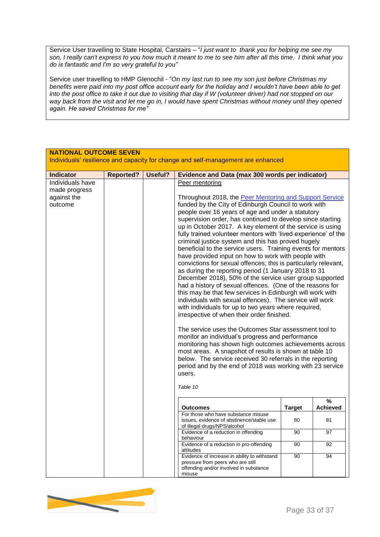Service User travelling to State Hospital, Carstairs – "*I just want to thank you for helping me see my son, I really can't express to you how much it meant to me to see him after all this time. I think what you do is fantastic and I'm so very grateful to you"* 

Service user travelling to HMP Glenochil - "*On my last run to see my son just before Christmas my benefits were paid into my post office account early for the holiday and I wouldn't have been able to get into the post office to take it out due to visiting that day if W (volunteer driver) had not stopped on our way back from the visit and let me go in, I would have spent Christmas without money until they opened again. He saved Christmas for me"*

| <b>NATIONAL OUTCOME SEVEN</b>                                                    |                  |         |                                                                                                                                                                                                                                                                                                                                                                                                                                                                                                                                                                                                                                                                                                                                                                                                                                                                                                                                                                                                                                                                                                                                                                                                                                                                                                                                                                                                                                     |               |                      |  |
|----------------------------------------------------------------------------------|------------------|---------|-------------------------------------------------------------------------------------------------------------------------------------------------------------------------------------------------------------------------------------------------------------------------------------------------------------------------------------------------------------------------------------------------------------------------------------------------------------------------------------------------------------------------------------------------------------------------------------------------------------------------------------------------------------------------------------------------------------------------------------------------------------------------------------------------------------------------------------------------------------------------------------------------------------------------------------------------------------------------------------------------------------------------------------------------------------------------------------------------------------------------------------------------------------------------------------------------------------------------------------------------------------------------------------------------------------------------------------------------------------------------------------------------------------------------------------|---------------|----------------------|--|
| Individuals' resilience and capacity for change and self-management are enhanced |                  |         |                                                                                                                                                                                                                                                                                                                                                                                                                                                                                                                                                                                                                                                                                                                                                                                                                                                                                                                                                                                                                                                                                                                                                                                                                                                                                                                                                                                                                                     |               |                      |  |
| <b>Indicator</b>                                                                 | <b>Reported?</b> | Useful? | <b>Evidence and Data (max 300 words per indicator)</b>                                                                                                                                                                                                                                                                                                                                                                                                                                                                                                                                                                                                                                                                                                                                                                                                                                                                                                                                                                                                                                                                                                                                                                                                                                                                                                                                                                              |               |                      |  |
| Individuals have<br>made progress<br>against the<br>outcome                      |                  |         | Peer mentoring<br>Throughout 2018, the Peer Mentoring and Support Service<br>funded by the City of Edinburgh Council to work with<br>people over 16 years of age and under a statutory<br>supervision order, has continued to develop since starting<br>up in October 2017. A key element of the service is using<br>fully trained volunteer mentors with 'lived experience' of the<br>criminal justice system and this has proved hugely<br>beneficial to the service users. Training events for mentors<br>have provided input on how to work with people with<br>convictions for sexual offences; this is particularly relevant,<br>as during the reporting period (1 January 2018 to 31<br>December 2018), 50% of the service user group supported<br>had a history of sexual offences. (One of the reasons for<br>this may be that few services in Edinburgh will work with<br>individuals with sexual offences). The service will work<br>with individuals for up to two years where required,<br>irrespective of when their order finished.<br>The service uses the Outcomes Star assessment tool to<br>monitor an individual's progress and performance<br>monitoring has shown high outcomes achievements across<br>most areas. A snapshot of results is shown at table 10<br>below. The service received 30 referrals in the reporting<br>period and by the end of 2018 was working with 23 service<br>users.<br>Table 10 |               |                      |  |
|                                                                                  |                  |         | <b>Outcomes</b>                                                                                                                                                                                                                                                                                                                                                                                                                                                                                                                                                                                                                                                                                                                                                                                                                                                                                                                                                                                                                                                                                                                                                                                                                                                                                                                                                                                                                     | <b>Target</b> | %<br><b>Achieved</b> |  |
|                                                                                  |                  |         | For those who have substance misuse<br>issues, evidence of abstinence/stable use<br>of illegal drugs/NPS/alcohol                                                                                                                                                                                                                                                                                                                                                                                                                                                                                                                                                                                                                                                                                                                                                                                                                                                                                                                                                                                                                                                                                                                                                                                                                                                                                                                    | 80            | 81                   |  |
|                                                                                  |                  |         | Evidence of a reduction in offending<br>behaviour                                                                                                                                                                                                                                                                                                                                                                                                                                                                                                                                                                                                                                                                                                                                                                                                                                                                                                                                                                                                                                                                                                                                                                                                                                                                                                                                                                                   | 90            | 97                   |  |
|                                                                                  |                  |         | Evidence of a reduction in pro-offending<br>attitudes                                                                                                                                                                                                                                                                                                                                                                                                                                                                                                                                                                                                                                                                                                                                                                                                                                                                                                                                                                                                                                                                                                                                                                                                                                                                                                                                                                               | 90            | 92                   |  |
|                                                                                  |                  |         | Evidence of increase in ability to withstand<br>pressure from peers who are still<br>offending and/or involved in substance<br>misuse                                                                                                                                                                                                                                                                                                                                                                                                                                                                                                                                                                                                                                                                                                                                                                                                                                                                                                                                                                                                                                                                                                                                                                                                                                                                                               | 90            | 94                   |  |

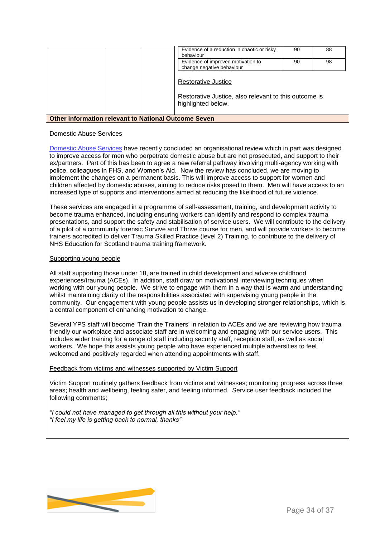|  | Evidence of a reduction in chaotic or risky<br>behaviour                                           | 90 | 88 |
|--|----------------------------------------------------------------------------------------------------|----|----|
|  | Evidence of improved motivation to<br>change negative behaviour                                    | 90 | 98 |
|  | Restorative Justice<br>Restorative Justice, also relevant to this outcome is<br>highlighted below. |    |    |

#### **Other information relevant to National Outcome Seven**

#### Domestic Abuse Services

[Domestic Abuse Services](http://www.edinburgh.gov.uk/domesticabuse) have recently concluded an organisational review which in part was designed to improve access for men who perpetrate domestic abuse but are not prosecuted, and support to their ex/partners. Part of this has been to agree a new referral pathway involving multi-agency working with police, colleagues in FHS, and Women's Aid. Now the review has concluded, we are moving to implement the changes on a permanent basis. This will improve access to support for women and children affected by domestic abuses, aiming to reduce risks posed to them. Men will have access to an increased type of supports and interventions aimed at reducing the likelihood of future violence.

These services are engaged in a programme of self-assessment, training, and development activity to become trauma enhanced, including ensuring workers can identify and respond to complex trauma presentations, and support the safety and stabilisation of service users. We will contribute to the delivery of a pilot of a community forensic Survive and Thrive course for men, and will provide workers to become trainers accredited to deliver Trauma Skilled Practice (level 2) Training, to contribute to the delivery of NHS Education for Scotland trauma training framework.

#### Supporting young people

All staff supporting those under 18, are trained in child development and adverse childhood experiences/trauma (ACEs). In addition, staff draw on motivational interviewing techniques when working with our young people. We strive to engage with them in a way that is warm and understanding whilst maintaining clarity of the responsibilities associated with supervising young people in the community. Our engagement with young people assists us in developing stronger relationships, which is a central component of enhancing motivation to change.

Several YPS staff will become 'Train the Trainers' in relation to ACEs and we are reviewing how trauma friendly our workplace and associate staff are in welcoming and engaging with our service users. This includes wider training for a range of staff including security staff, reception staff, as well as social workers. We hope this assists young people who have experienced multiple adversities to feel welcomed and positively regarded when attending appointments with staff.

#### Feedback from victims and witnesses supported by Victim Support

Victim Support routinely gathers feedback from victims and witnesses; monitoring progress across three areas; health and wellbeing, feeling safer, and feeling informed. Service user feedback included the following comments;

*"I could not have managed to get through all this without your help." "I feel my life is getting back to normal, thanks"*

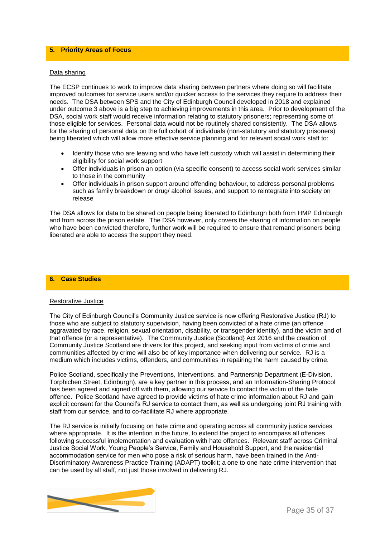#### **5. Priority Areas of Focus**

#### Data sharing

The ECSP continues to work to improve data sharing between partners where doing so will facilitate improved outcomes for service users and/or quicker access to the services they require to address their needs. The DSA between SPS and the City of Edinburgh Council developed in 2018 and explained under outcome 3 above is a big step to achieving improvements in this area. Prior to development of the DSA, social work staff would receive information relating to statutory prisoners; representing some of those eligible for services. Personal data would not be routinely shared consistently. The DSA allows for the sharing of personal data on the full cohort of individuals (non-statutory and statutory prisoners) being liberated which will allow more effective service planning and for relevant social work staff to:

- Identify those who are leaving and who have left custody which will assist in determining their eligibility for social work support
- Offer individuals in prison an option (via specific consent) to access social work services similar to those in the community
- Offer individuals in prison support around offending behaviour, to address personal problems such as family breakdown or drug/ alcohol issues, and support to reintegrate into society on release

The DSA allows for data to be shared on people being liberated to Edinburgh both from HMP Edinburgh and from across the prison estate. The DSA however, only covers the sharing of information on people who have been convicted therefore, further work will be required to ensure that remand prisoners being liberated are able to access the support they need.

#### **6. Case Studies**

#### Restorative Justice

The City of Edinburgh Council's Community Justice service is now offering Restorative Justice (RJ) to those who are subject to statutory supervision, having been convicted of a hate crime (an offence aggravated by race, religion, sexual orientation, disability, or transgender identity), and the victim and of that offence (or a representative). The Community Justice (Scotland) Act 2016 and the creation of Community Justice Scotland are drivers for this project, and seeking input from victims of crime and communities affected by crime will also be of key importance when delivering our service. RJ is a medium which includes victims, offenders, and communities in repairing the harm caused by crime.

Police Scotland, specifically the Preventions, Interventions, and Partnership Department (E-Division, Torphichen Street, Edinburgh), are a key partner in this process, and an Information-Sharing Protocol has been agreed and signed off with them, allowing our service to contact the victim of the hate offence. Police Scotland have agreed to provide victims of hate crime information about RJ and gain explicit consent for the Council's RJ service to contact them, as well as undergoing joint RJ training with staff from our service, and to co-facilitate RJ where appropriate.

The RJ service is initially focusing on hate crime and operating across all community justice services where appropriate. It is the intention in the future, to extend the project to encompass all offences following successful implementation and evaluation with hate offences. Relevant staff across Criminal Justice Social Work, Young People's Service, Family and Household Support, and the residential accommodation service for men who pose a risk of serious harm, have been trained in the Anti-Discriminatory Awareness Practice Training (ADAPT) toolkit; a one to one hate crime intervention that can be used by all staff, not just those involved in delivering RJ.

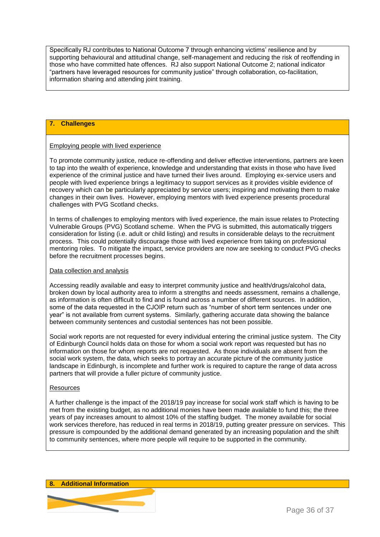Specifically RJ contributes to National Outcome 7 through enhancing victims' resilience and by supporting behavioural and attitudinal change, self-management and reducing the risk of reoffending in those who have committed hate offences. RJ also support National Outcome 2; national indicator "partners have leveraged resources for community justice" through collaboration, co-facilitation, information sharing and attending joint training.

#### **7. Challenges**

#### Employing people with lived experience

To promote community justice, reduce re-offending and deliver effective interventions, partners are keen to tap into the wealth of experience, knowledge and understanding that exists in those who have lived experience of the criminal justice and have turned their lives around. Employing ex-service users and people with lived experience brings a legitimacy to support services as it provides visible evidence of recovery which can be particularly appreciated by service users; inspiring and motivating them to make changes in their own lives. However, employing mentors with lived experience presents procedural challenges with PVG Scotland checks.

In terms of challenges to employing mentors with lived experience, the main issue relates to Protecting Vulnerable Groups (PVG) Scotland scheme. When the PVG is submitted, this automatically triggers consideration for listing (i.e. adult or child listing) and results in considerable delays to the recruitment process. This could potentially discourage those with lived experience from taking on professional mentoring roles. To mitigate the impact, service providers are now are seeking to conduct PVG checks before the recruitment processes begins.

#### Data collection and analysis

Accessing readily available and easy to interpret community justice and health/drugs/alcohol data, broken down by local authority area to inform a strengths and needs assessment, remains a challenge, as information is often difficult to find and is found across a number of different sources. In addition, some of the data requested in the CJOIP return such as "number of short term sentences under one year" is not available from current systems. Similarly, gathering accurate data showing the balance between community sentences and custodial sentences has not been possible.

Social work reports are not requested for every individual entering the criminal justice system. The City of Edinburgh Council holds data on those for whom a social work report was requested but has no information on those for whom reports are not requested. As those individuals are absent from the social work system, the data, which seeks to portray an accurate picture of the community justice landscape in Edinburgh, is incomplete and further work is required to capture the range of data across partners that will provide a fuller picture of community justice.

#### **Resources**

A further challenge is the impact of the 2018/19 pay increase for social work staff which is having to be met from the existing budget, as no additional monies have been made available to fund this; the three years of pay increases amount to almost 10% of the staffing budget. The money available for social work services therefore, has reduced in real terms in 2018/19, putting greater pressure on services. This pressure is compounded by the additional demand generated by an increasing population and the shift to community sentences, where more people will require to be supported in the community.